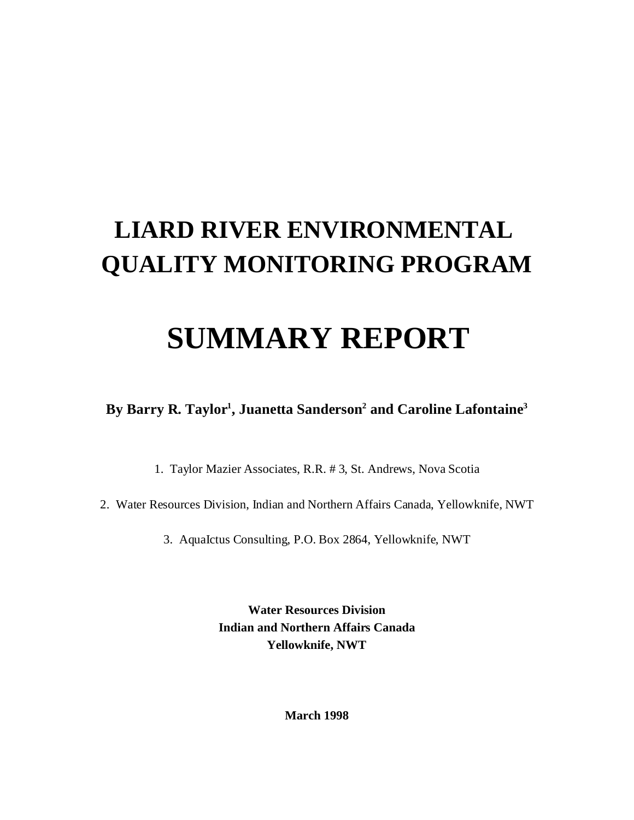# **LIARD RIVER ENVIRONMENTAL QUALITY MONITORING PROGRAM**

# **SUMMARY REPORT**

**By Barry R. Taylor<sup>1</sup> , Juanetta Sanderson<sup>2</sup> and Caroline Lafontaine<sup>3</sup>**

1. Taylor Mazier Associates, R.R. # 3, St. Andrews, Nova Scotia

2. Water Resources Division, Indian and Northern Affairs Canada, Yellowknife, NWT

3. AquaIctus Consulting, P.O. Box 2864, Yellowknife, NWT

**Water Resources Division Indian and Northern Affairs Canada Yellowknife, NWT**

**March 1998**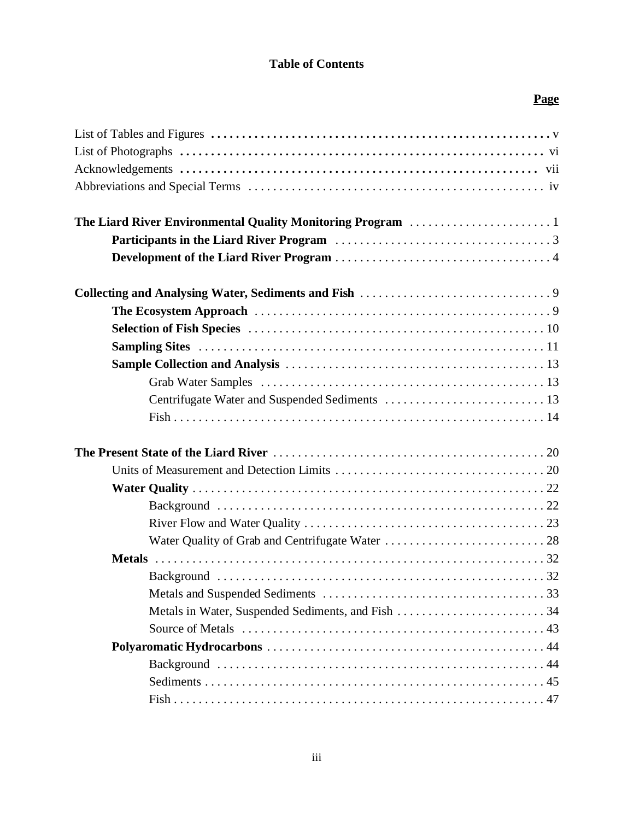#### **Table of Contents**

### **Page**

| The Liard River Environmental Quality Monitoring Program 1 |  |
|------------------------------------------------------------|--|
|                                                            |  |
|                                                            |  |
|                                                            |  |
|                                                            |  |
|                                                            |  |
|                                                            |  |
|                                                            |  |
|                                                            |  |
|                                                            |  |
|                                                            |  |
|                                                            |  |
|                                                            |  |
|                                                            |  |
|                                                            |  |
|                                                            |  |
|                                                            |  |
|                                                            |  |
|                                                            |  |
|                                                            |  |
| Metals in Water, Suspended Sediments, and Fish 34          |  |
|                                                            |  |
|                                                            |  |
|                                                            |  |
|                                                            |  |
|                                                            |  |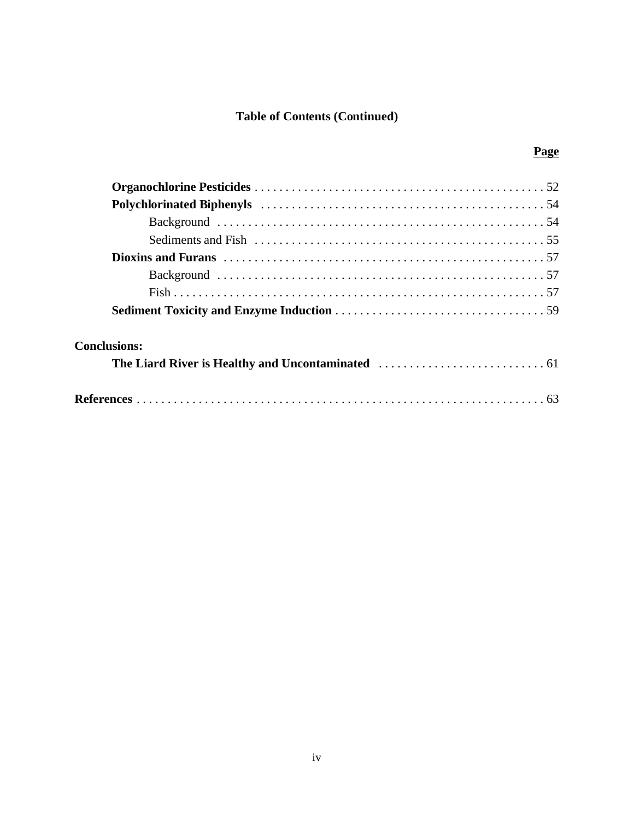### **Table of Contents (Continued)**

| <b>Conclusions:</b> |  |
|---------------------|--|
|                     |  |

### **Page**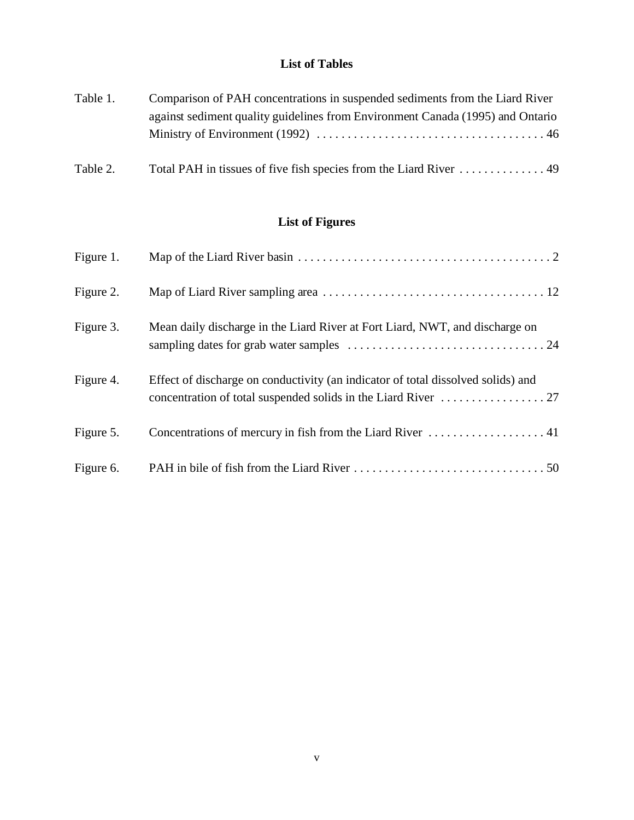#### **List of Tables**

| Table 1. | Comparison of PAH concentrations in suspended sediments from the Liard River   |
|----------|--------------------------------------------------------------------------------|
|          | against sediment quality guidelines from Environment Canada (1995) and Ontario |
|          |                                                                                |
| Table 2. |                                                                                |

### **List of Figures**

| Figure 1. |                                                                                  |
|-----------|----------------------------------------------------------------------------------|
| Figure 2. |                                                                                  |
| Figure 3. | Mean daily discharge in the Liard River at Fort Liard, NWT, and discharge on     |
| Figure 4. | Effect of discharge on conductivity (an indicator of total dissolved solids) and |
| Figure 5. |                                                                                  |
| Figure 6. |                                                                                  |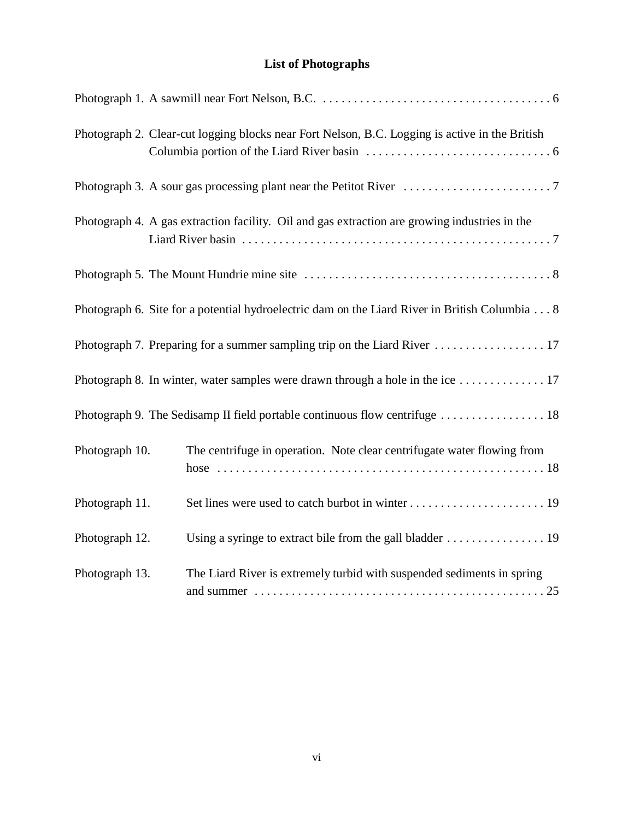### **List of Photographs**

|                | Photograph 2. Clear-cut logging blocks near Fort Nelson, B.C. Logging is active in the British           |
|----------------|----------------------------------------------------------------------------------------------------------|
|                |                                                                                                          |
|                | Photograph 4. A gas extraction facility. Oil and gas extraction are growing industries in the            |
|                |                                                                                                          |
|                | Photograph 6. Site for a potential hydroelectric dam on the Liard River in British Columbia 8            |
|                |                                                                                                          |
|                | Photograph 8. In winter, water samples were drawn through a hole in the ice $\dots \dots \dots \dots 17$ |
|                |                                                                                                          |
| Photograph 10. | The centrifuge in operation. Note clear centrifugate water flowing from                                  |
| Photograph 11. |                                                                                                          |
| Photograph 12. |                                                                                                          |
| Photograph 13. | The Liard River is extremely turbid with suspended sediments in spring                                   |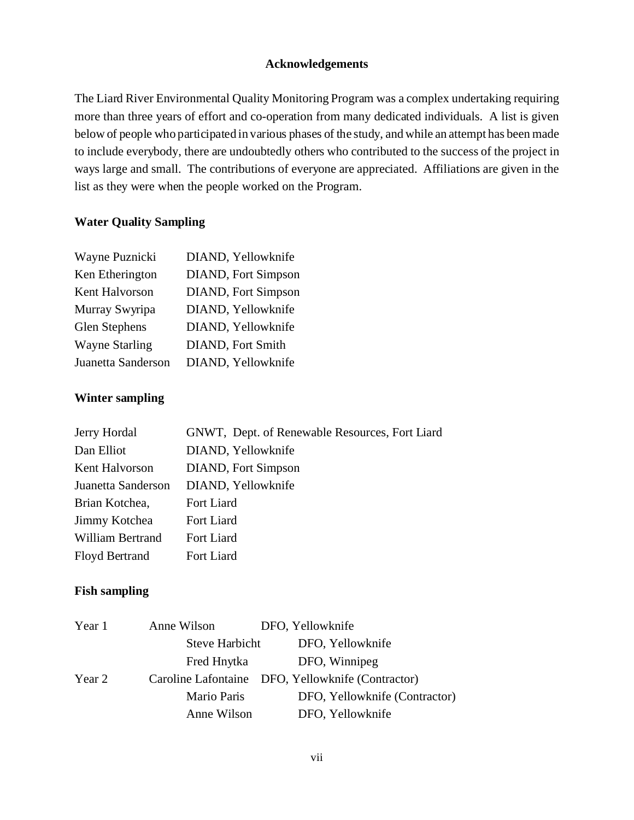#### **Acknowledgements**

The Liard River Environmental Quality Monitoring Program was a complex undertaking requiring more than three years of effort and co-operation from many dedicated individuals. A list is given below of people who participated in various phases of the study, and while an attempt has been made to include everybody, there are undoubtedly others who contributed to the success of the project in ways large and small. The contributions of everyone are appreciated. Affiliations are given in the list as they were when the people worked on the Program.

#### **Water Quality Sampling**

| Wayne Puznicki        | DIAND, Yellowknife         |
|-----------------------|----------------------------|
| Ken Etherington       | <b>DIAND, Fort Simpson</b> |
| Kent Halvorson        | <b>DIAND, Fort Simpson</b> |
| Murray Swyripa        | DIAND, Yellowknife         |
| Glen Stephens         | DIAND, Yellowknife         |
| <b>Wayne Starling</b> | <b>DIAND, Fort Smith</b>   |
| Juanetta Sanderson    | DIAND, Yellowknife         |

#### **Winter sampling**

| Jerry Hordal            | GNWT, Dept. of Renewable Resources, Fort Liard |
|-------------------------|------------------------------------------------|
| Dan Elliot              | DIAND, Yellowknife                             |
| Kent Halvorson          | DIAND, Fort Simpson                            |
| Juanetta Sanderson      | DIAND, Yellowknife                             |
| Brian Kotchea,          | Fort Liard                                     |
| Jimmy Kotchea           | Fort Liard                                     |
| <b>William Bertrand</b> | Fort Liard                                     |
| <b>Floyd Bertrand</b>   | Fort Liard                                     |

#### **Fish sampling**

| DFO, Yellowknife                                  |
|---------------------------------------------------|
| DFO, Winnipeg                                     |
| Caroline Lafontaine DFO, Yellowknife (Contractor) |
| DFO, Yellowknife (Contractor)                     |
| DFO, Yellowknife                                  |
|                                                   |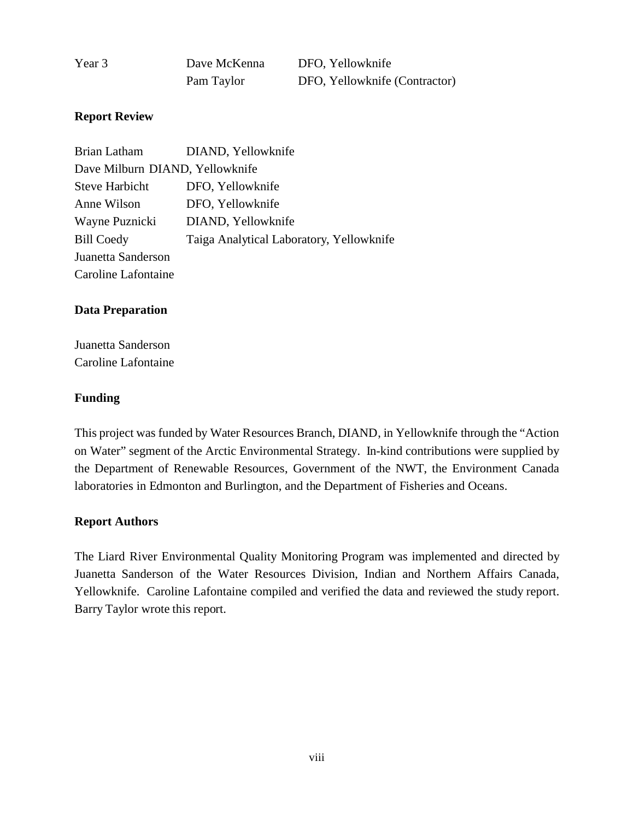| Year 3 | Dave McKenna | DFO, Yellowknife              |
|--------|--------------|-------------------------------|
|        | Pam Taylor   | DFO, Yellowknife (Contractor) |

#### **Report Review**

| <b>Brian Latham</b>             | DIAND, Yellowknife                       |
|---------------------------------|------------------------------------------|
| Dave Milburn DIAND, Yellowknife |                                          |
| <b>Steve Harbicht</b>           | DFO, Yellowknife                         |
| Anne Wilson                     | DFO, Yellowknife                         |
| Wayne Puznicki                  | DIAND, Yellowknife                       |
| <b>Bill Coedy</b>               | Taiga Analytical Laboratory, Yellowknife |
| Juanetta Sanderson              |                                          |
| Caroline Lafontaine             |                                          |

#### **Data Preparation**

Juanetta Sanderson Caroline Lafontaine

#### **Funding**

This project was funded by Water Resources Branch, DIAND, in Yellowknife through the "Action on Water" segment of the Arctic Environmental Strategy. In-kind contributions were supplied by the Department of Renewable Resources, Government of the NWT, the Environment Canada laboratories in Edmonton and Burlington, and the Department of Fisheries and Oceans.

#### **Report Authors**

The Liard River Environmental Quality Monitoring Program was implemented and directed by Juanetta Sanderson of the Water Resources Division, Indian and Northern Affairs Canada, Yellowknife. Caroline Lafontaine compiled and verified the data and reviewed the study report. Barry Taylor wrote this report.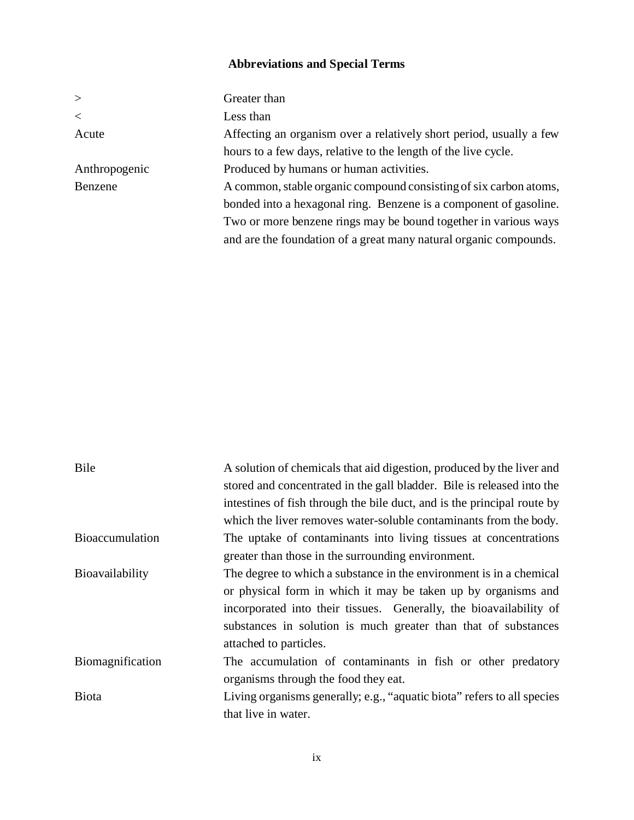### **Abbreviations and Special Terms**

| $\geq$        | Greater than                                                        |
|---------------|---------------------------------------------------------------------|
| $\,<\,$       | Less than                                                           |
| Acute         | Affecting an organism over a relatively short period, usually a few |
|               | hours to a few days, relative to the length of the live cycle.      |
| Anthropogenic | Produced by humans or human activities.                             |
| Benzene       | A common, stable organic compound consisting of six carbon atoms,   |
|               | bonded into a hexagonal ring. Benzene is a component of gasoline.   |
|               | Two or more benzene rings may be bound together in various ways     |
|               | and are the foundation of a great many natural organic compounds.   |

| Bile                   | A solution of chemicals that aid digestion, produced by the liver and   |
|------------------------|-------------------------------------------------------------------------|
|                        | stored and concentrated in the gall bladder. Bile is released into the  |
|                        | intestines of fish through the bile duct, and is the principal route by |
|                        | which the liver removes water-soluble contaminants from the body.       |
| <b>Bioaccumulation</b> | The uptake of contaminants into living tissues at concentrations        |
|                        | greater than those in the surrounding environment.                      |
| Bioavailability        | The degree to which a substance in the environment is in a chemical     |
|                        | or physical form in which it may be taken up by organisms and           |
|                        | incorporated into their tissues. Generally, the bioavailability of      |
|                        | substances in solution is much greater than that of substances          |
|                        | attached to particles.                                                  |
| Biomagnification       | The accumulation of contaminants in fish or other predatory             |
|                        | organisms through the food they eat.                                    |
| <b>Biota</b>           | Living organisms generally; e.g., "aquatic biota" refers to all species |
|                        | that live in water.                                                     |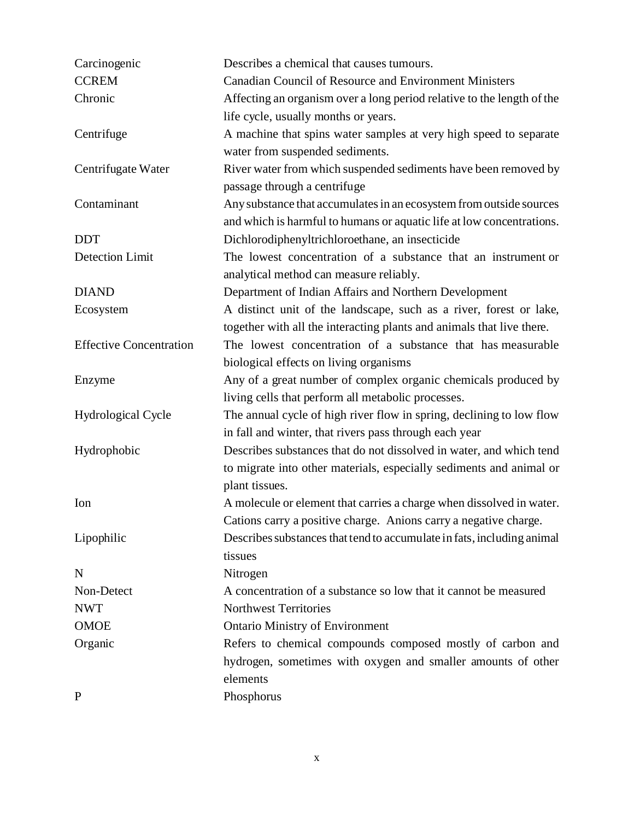| Carcinogenic                   | Describes a chemical that causes tumours.                              |  |  |  |  |  |
|--------------------------------|------------------------------------------------------------------------|--|--|--|--|--|
| <b>CCREM</b>                   | <b>Canadian Council of Resource and Environment Ministers</b>          |  |  |  |  |  |
| Chronic                        | Affecting an organism over a long period relative to the length of the |  |  |  |  |  |
|                                | life cycle, usually months or years.                                   |  |  |  |  |  |
| Centrifuge                     | A machine that spins water samples at very high speed to separate      |  |  |  |  |  |
|                                | water from suspended sediments.                                        |  |  |  |  |  |
| Centrifugate Water             | River water from which suspended sediments have been removed by        |  |  |  |  |  |
|                                | passage through a centrifuge                                           |  |  |  |  |  |
| Contaminant                    | Any substance that accumulates in an ecosystem from outside sources    |  |  |  |  |  |
|                                | and which is harmful to humans or aquatic life at low concentrations.  |  |  |  |  |  |
| <b>DDT</b>                     | Dichlorodiphenyltrichloroethane, an insecticide                        |  |  |  |  |  |
| <b>Detection Limit</b>         | The lowest concentration of a substance that an instrument or          |  |  |  |  |  |
|                                | analytical method can measure reliably.                                |  |  |  |  |  |
| <b>DIAND</b>                   | Department of Indian Affairs and Northern Development                  |  |  |  |  |  |
| Ecosystem                      | A distinct unit of the landscape, such as a river, forest or lake,     |  |  |  |  |  |
|                                | together with all the interacting plants and animals that live there.  |  |  |  |  |  |
| <b>Effective Concentration</b> | The lowest concentration of a substance that has measurable            |  |  |  |  |  |
|                                | biological effects on living organisms                                 |  |  |  |  |  |
| Enzyme                         | Any of a great number of complex organic chemicals produced by         |  |  |  |  |  |
|                                | living cells that perform all metabolic processes.                     |  |  |  |  |  |
| <b>Hydrological Cycle</b>      | The annual cycle of high river flow in spring, declining to low flow   |  |  |  |  |  |
|                                | in fall and winter, that rivers pass through each year                 |  |  |  |  |  |
| Hydrophobic                    | Describes substances that do not dissolved in water, and which tend    |  |  |  |  |  |
|                                | to migrate into other materials, especially sediments and animal or    |  |  |  |  |  |
|                                | plant tissues.                                                         |  |  |  |  |  |
| Ion                            | A molecule or element that carries a charge when dissolved in water.   |  |  |  |  |  |
|                                | Cations carry a positive charge. Anions carry a negative charge.       |  |  |  |  |  |
| Lipophilic                     | Describes substances that tend to accumulate in fats, including animal |  |  |  |  |  |
|                                | tissues                                                                |  |  |  |  |  |
| N                              | Nitrogen                                                               |  |  |  |  |  |
| Non-Detect                     | A concentration of a substance so low that it cannot be measured       |  |  |  |  |  |
| <b>NWT</b>                     | <b>Northwest Territories</b>                                           |  |  |  |  |  |
| <b>OMOE</b>                    | <b>Ontario Ministry of Environment</b>                                 |  |  |  |  |  |
| Organic                        | Refers to chemical compounds composed mostly of carbon and             |  |  |  |  |  |
|                                | hydrogen, sometimes with oxygen and smaller amounts of other           |  |  |  |  |  |
|                                | elements                                                               |  |  |  |  |  |
| $\mathbf{P}$                   | Phosphorus                                                             |  |  |  |  |  |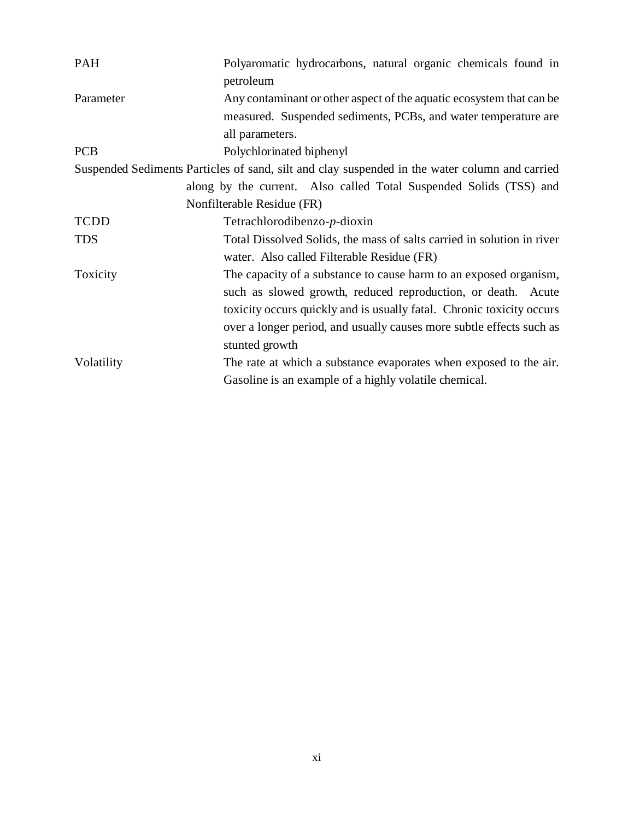| <b>PAH</b>                                                                                     | Polyaromatic hydrocarbons, natural organic chemicals found in<br>petroleum |  |  |  |  |  |  |
|------------------------------------------------------------------------------------------------|----------------------------------------------------------------------------|--|--|--|--|--|--|
| Parameter                                                                                      | Any contaminant or other aspect of the aquatic ecosystem that can be       |  |  |  |  |  |  |
|                                                                                                | measured. Suspended sediments, PCBs, and water temperature are             |  |  |  |  |  |  |
|                                                                                                | all parameters.                                                            |  |  |  |  |  |  |
| <b>PCB</b>                                                                                     | Polychlorinated biphenyl                                                   |  |  |  |  |  |  |
| Suspended Sediments Particles of sand, silt and clay suspended in the water column and carried |                                                                            |  |  |  |  |  |  |
|                                                                                                | along by the current. Also called Total Suspended Solids (TSS) and         |  |  |  |  |  |  |
|                                                                                                | Nonfilterable Residue (FR)                                                 |  |  |  |  |  |  |
| <b>TCDD</b>                                                                                    | Tetrachlorodibenzo- $p$ -dioxin                                            |  |  |  |  |  |  |
| <b>TDS</b>                                                                                     | Total Dissolved Solids, the mass of salts carried in solution in river     |  |  |  |  |  |  |
|                                                                                                | water. Also called Filterable Residue (FR)                                 |  |  |  |  |  |  |
| Toxicity                                                                                       | The capacity of a substance to cause harm to an exposed organism,          |  |  |  |  |  |  |
|                                                                                                | such as slowed growth, reduced reproduction, or death. Acute               |  |  |  |  |  |  |
|                                                                                                | toxicity occurs quickly and is usually fatal. Chronic toxicity occurs      |  |  |  |  |  |  |
|                                                                                                | over a longer period, and usually causes more subtle effects such as       |  |  |  |  |  |  |
|                                                                                                | stunted growth                                                             |  |  |  |  |  |  |
| Volatility                                                                                     | The rate at which a substance evaporates when exposed to the air.          |  |  |  |  |  |  |
|                                                                                                | Gasoline is an example of a highly volatile chemical.                      |  |  |  |  |  |  |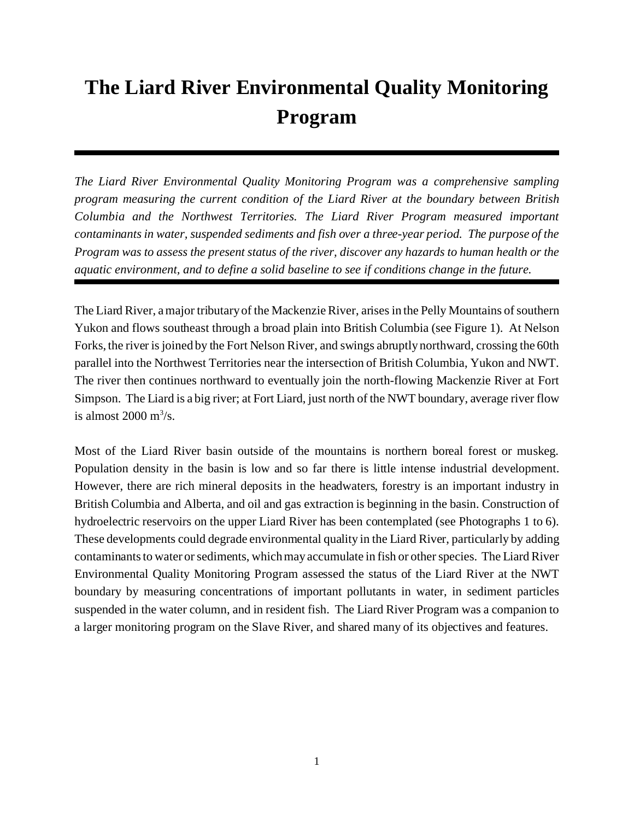# **The Liard River Environmental Quality Monitoring Program**

*The Liard River Environmental Quality Monitoring Program was a comprehensive sampling program measuring the current condition of the Liard River at the boundary between British Columbia and the Northwest Territories. The Liard River Program measured important contaminants in water, suspended sediments and fish over a three-year period. The purpose of the Program was to assess the present status of the river, discover any hazards to human health or the aquatic environment, and to define a solid baseline to see if conditions change in the future.* 

The Liard River, a major tributary of the Mackenzie River, arises in the Pelly Mountains of southern Yukon and flows southeast through a broad plain into British Columbia (see Figure 1). At Nelson Forks, the river is joined by the Fort Nelson River, and swings abruptly northward, crossing the 60th parallel into the Northwest Territories near the intersection of British Columbia, Yukon and NWT. The river then continues northward to eventually join the north-flowing Mackenzie River at Fort Simpson. The Liard is a big river; at Fort Liard, just north of the NWT boundary, average river flow is almost  $2000 \text{ m}^3/\text{s}$ .

Most of the Liard River basin outside of the mountains is northern boreal forest or muskeg. Population density in the basin is low and so far there is little intense industrial development. However, there are rich mineral deposits in the headwaters, forestry is an important industry in British Columbia and Alberta, and oil and gas extraction is beginning in the basin. Construction of hydroelectric reservoirs on the upper Liard River has been contemplated (see Photographs 1 to 6). These developments could degrade environmental quality in the Liard River, particularly by adding contaminants to water or sediments, which may accumulate in fish or other species. The Liard River Environmental Quality Monitoring Program assessed the status of the Liard River at the NWT boundary by measuring concentrations of important pollutants in water, in sediment particles suspended in the water column, and in resident fish. The Liard River Program was a companion to a larger monitoring program on the Slave River, and shared many of its objectives and features.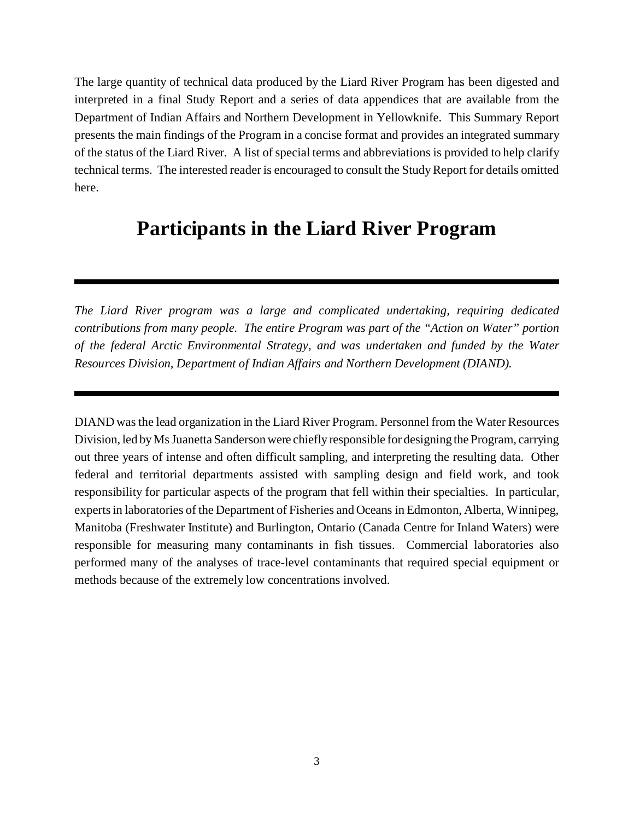The large quantity of technical data produced by the Liard River Program has been digested and interpreted in a final Study Report and a series of data appendices that are available from the Department of Indian Affairs and Northern Development in Yellowknife. This Summary Report presents the main findings of the Program in a concise format and provides an integrated summary of the status of the Liard River. A list of special terms and abbreviations is provided to help clarify technical terms. The interested reader is encouraged to consult the Study Report for details omitted here.

## **Participants in the Liard River Program**

*The Liard River program was a large and complicated undertaking, requiring dedicated contributions from many people. The entire Program was part of the "Action on Water" portion of the federal Arctic Environmental Strategy, and was undertaken and funded by the Water Resources Division, Department of Indian Affairs and Northern Development (DIAND).*

DIAND was the lead organization in the Liard River Program. Personnel from the Water Resources Division, led by Ms Juanetta Sanderson were chiefly responsible for designing the Program, carrying out three years of intense and often difficult sampling, and interpreting the resulting data. Other federal and territorial departments assisted with sampling design and field work, and took responsibility for particular aspects of the program that fell within their specialties. In particular, experts in laboratories of the Department of Fisheries and Oceans in Edmonton, Alberta, Winnipeg, Manitoba (Freshwater Institute) and Burlington, Ontario (Canada Centre for Inland Waters) were responsible for measuring many contaminants in fish tissues. Commercial laboratories also performed many of the analyses of trace-level contaminants that required special equipment or methods because of the extremely low concentrations involved.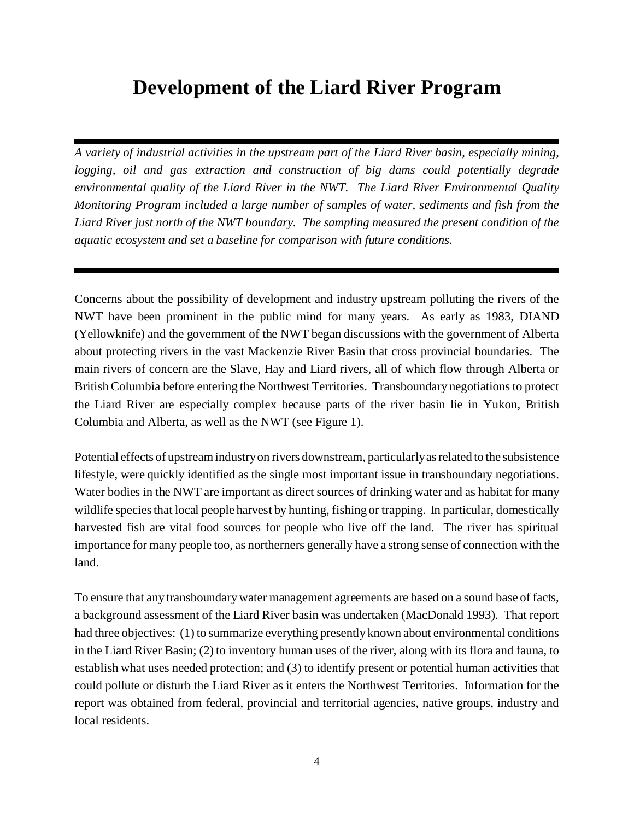# **Development of the Liard River Program**

*A variety of industrial activities in the upstream part of the Liard River basin, especially mining, logging, oil and gas extraction and construction of big dams could potentially degrade environmental quality of the Liard River in the NWT. The Liard River Environmental Quality Monitoring Program included a large number of samples of water, sediments and fish from the Liard River just north of the NWT boundary. The sampling measured the present condition of the aquatic ecosystem and set a baseline for comparison with future conditions.*

Concerns about the possibility of development and industry upstream polluting the rivers of the NWT have been prominent in the public mind for many years. As early as 1983, DIAND (Yellowknife) and the government of the NWT began discussions with the government of Alberta about protecting rivers in the vast Mackenzie River Basin that cross provincial boundaries. The main rivers of concern are the Slave, Hay and Liard rivers, all of which flow through Alberta or British Columbia before entering the Northwest Territories. Transboundary negotiations to protect the Liard River are especially complex because parts of the river basin lie in Yukon, British Columbia and Alberta, as well as the NWT (see Figure 1).

Potential effects of upstream industry on rivers downstream, particularly as related to the subsistence lifestyle, were quickly identified as the single most important issue in transboundary negotiations. Water bodies in the NWT are important as direct sources of drinking water and as habitat for many wildlife species that local people harvest by hunting, fishing or trapping. In particular, domestically harvested fish are vital food sources for people who live off the land. The river has spiritual importance for many people too, as northerners generally have a strong sense of connection with the land.

To ensure that any transboundary water management agreements are based on a sound base of facts, a background assessment of the Liard River basin was undertaken (MacDonald 1993). That report had three objectives: (1) to summarize everything presently known about environmental conditions in the Liard River Basin; (2) to inventory human uses of the river, along with its flora and fauna, to establish what uses needed protection; and (3) to identify present or potential human activities that could pollute or disturb the Liard River as it enters the Northwest Territories. Information for the report was obtained from federal, provincial and territorial agencies, native groups, industry and local residents.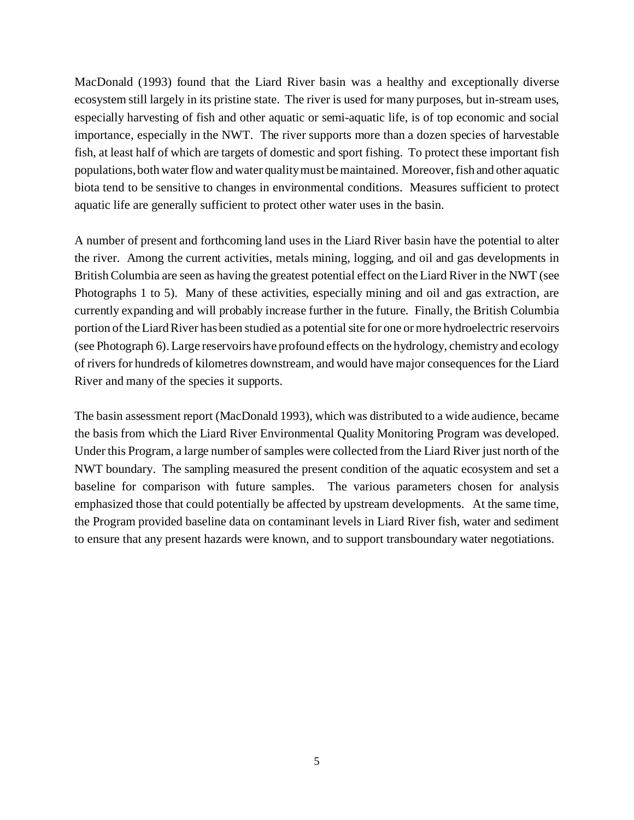MacDonald (1993) found that the Liard River basin was a healthy and exceptionally diverse ecosystem still largely in its pristine state. The river is used for many purposes, but in-stream uses, especially harvesting of fish and other aquatic or semi-aquatic life, is of top economic and social importance, especially in the NWT. The river supports more than a dozen species of harvestable fish, at least half of which are targets of domestic and sport fishing. To protect these important fish populations, both water flow and water quality must be maintained. Moreover, fish and other aquatic biota tend to be sensitive to changes in environmental conditions. Measures sufficient to protect aquatic life are generally sufficient to protect other water uses in the basin.

A number of present and forthcoming land uses in the Liard River basin have the potential to alter the river. Among the current activities, metals mining, logging, and oil and gas developments in British Columbia are seen as having the greatest potential effect on the Liard River in the NWT (see Photographs 1 to 5). Many of these activities, especially mining and oil and gas extraction, are currently expanding and will probably increase further in the future. Finally, the British Columbia portion of the Liard River has been studied as a potential site for one or more hydroelectric reservoirs (see Photograph 6). Large reservoirs have profound effects on the hydrology, chemistry and ecology of rivers for hundreds of kilometres downstream, and would have major consequences for the Liard River and many of the species it supports.

The basin assessment report (MacDonald 1993), which was distributed to a wide audience, became the basis from which the Liard River Environmental Quality Monitoring Program was developed. Under this Program, a large number of samples were collected from the Liard River just north of the NWT boundary. The sampling measured the present condition of the aquatic ecosystem and set a baseline for comparison with future samples. The various parameters chosen for analysis emphasized those that could potentially be affected by upstream developments. At the same time, the Program provided baseline data on contaminant levels in Liard River fish, water and sediment to ensure that any present hazards were known, and to support transboundary water negotiations.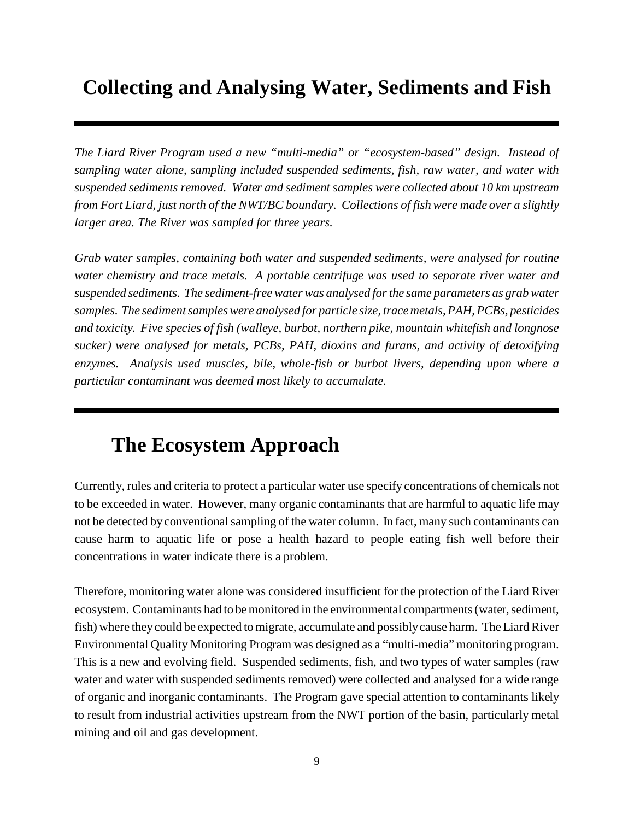# **Collecting and Analysing Water, Sediments and Fish**

*The Liard River Program used a new "multi-media" or "ecosystem-based" design. Instead of sampling water alone, sampling included suspended sediments, fish, raw water, and water with suspended sediments removed. Water and sediment samples were collected about 10 km upstream from Fort Liard, just north of the NWT/BC boundary. Collections of fish were made over a slightly larger area. The River was sampled for three years.*

*Grab water samples, containing both water and suspended sediments, were analysed for routine water chemistry and trace metals. A portable centrifuge was used to separate river water and suspended sediments. The sediment-free water was analysed for the same parameters as grab water samples. The sediment samples were analysed for particle size, trace metals, PAH, PCBs, pesticides and toxicity. Five species of fish (walleye, burbot, northern pike, mountain whitefish and longnose sucker) were analysed for metals, PCBs, PAH, dioxins and furans, and activity of detoxifying enzymes. Analysis used muscles, bile, whole-fish or burbot livers, depending upon where a particular contaminant was deemed most likely to accumulate.*

# **The Ecosystem Approach**

Currently, rules and criteria to protect a particular water use specify concentrations of chemicals not to be exceeded in water. However, many organic contaminants that are harmful to aquatic life may not be detected by conventional sampling of the water column. In fact, many such contaminants can cause harm to aquatic life or pose a health hazard to people eating fish well before their concentrations in water indicate there is a problem.

Therefore, monitoring water alone was considered insufficient for the protection of the Liard River ecosystem. Contaminants had to be monitored in the environmental compartments (water, sediment, fish) where they could be expected to migrate, accumulate and possibly cause harm. The Liard River Environmental Quality Monitoring Program was designed as a "multi-media" monitoring program. This is a new and evolving field. Suspended sediments, fish, and two types of water samples (raw water and water with suspended sediments removed) were collected and analysed for a wide range of organic and inorganic contaminants. The Program gave special attention to contaminants likely to result from industrial activities upstream from the NWT portion of the basin, particularly metal mining and oil and gas development.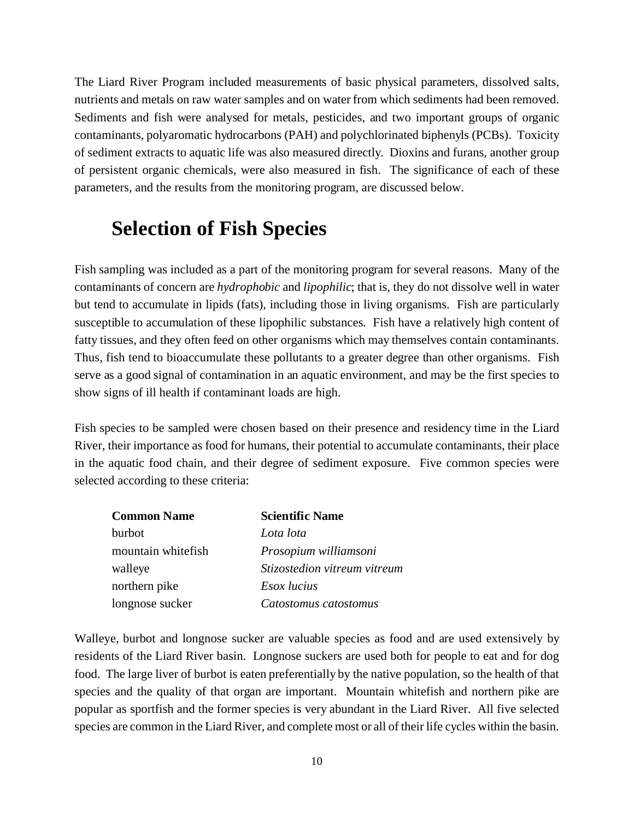The Liard River Program included measurements of basic physical parameters, dissolved salts, nutrients and metals on raw water samples and on water from which sediments had been removed. Sediments and fish were analysed for metals, pesticides, and two important groups of organic contaminants, polyaromatic hydrocarbons (PAH) and polychlorinated biphenyls (PCBs). Toxicity of sediment extracts to aquatic life was also measured directly. Dioxins and furans, another group of persistent organic chemicals, were also measured in fish. The significance of each of these parameters, and the results from the monitoring program, are discussed below.

# **Selection of Fish Species**

Fish sampling was included as a part of the monitoring program for several reasons. Many of the contaminants of concern are *hydrophobic* and *lipophilic*; that is, they do not dissolve well in water but tend to accumulate in lipids (fats), including those in living organisms. Fish are particularly susceptible to accumulation of these lipophilic substances. Fish have a relatively high content of fatty tissues, and they often feed on other organisms which may themselves contain contaminants. Thus, fish tend to bioaccumulate these pollutants to a greater degree than other organisms. Fish serve as a good signal of contamination in an aquatic environment, and may be the first species to show signs of ill health if contaminant loads are high.

Fish species to be sampled were chosen based on their presence and residency time in the Liard River, their importance as food for humans, their potential to accumulate contaminants, their place in the aquatic food chain, and their degree of sediment exposure. Five common species were selected according to these criteria:

| <b>Common Name</b> | <b>Scientific Name</b>       |  |  |  |
|--------------------|------------------------------|--|--|--|
| burbot             | Lota lota                    |  |  |  |
| mountain whitefish | Prosopium williamsoni        |  |  |  |
| walleye            | Stizostedion vitreum vitreum |  |  |  |
| northern pike      | <i>Esox lucius</i>           |  |  |  |
| longnose sucker    | Catostomus catostomus        |  |  |  |

Walleye, burbot and longnose sucker are valuable species as food and are used extensively by residents of the Liard River basin. Longnose suckers are used both for people to eat and for dog food. The large liver of burbot is eaten preferentially by the native population, so the health of that species and the quality of that organ are important. Mountain whitefish and northern pike are popular as sportfish and the former species is very abundant in the Liard River. All five selected species are common in the Liard River, and complete most or all of their life cycles within the basin.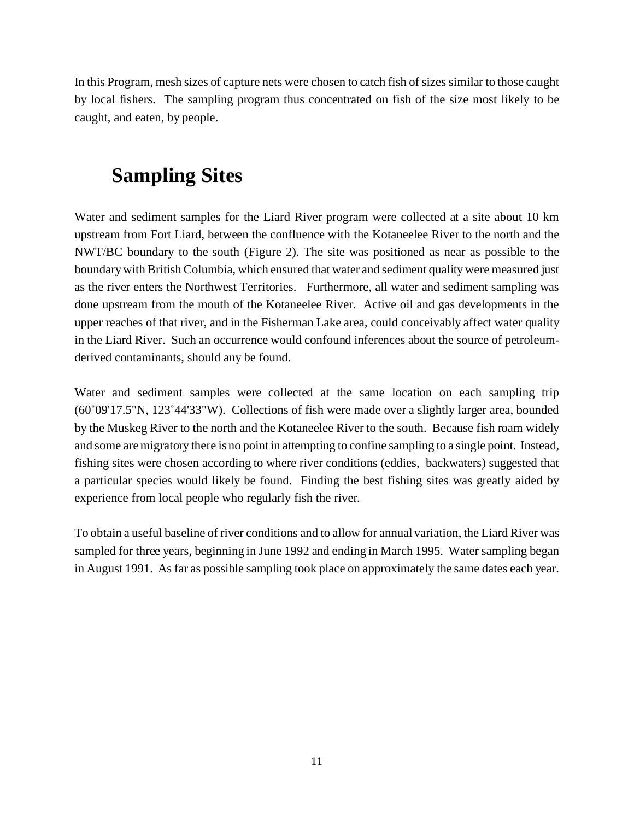In this Program, mesh sizes of capture nets were chosen to catch fish of sizes similar to those caught by local fishers. The sampling program thus concentrated on fish of the size most likely to be caught, and eaten, by people.

# **Sampling Sites**

Water and sediment samples for the Liard River program were collected at a site about 10 km upstream from Fort Liard, between the confluence with the Kotaneelee River to the north and the NWT/BC boundary to the south (Figure 2). The site was positioned as near as possible to the boundary with British Columbia, which ensured that water and sediment quality were measured just as the river enters the Northwest Territories. Furthermore, all water and sediment sampling was done upstream from the mouth of the Kotaneelee River. Active oil and gas developments in the upper reaches of that river, and in the Fisherman Lake area, could conceivably affect water quality in the Liard River. Such an occurrence would confound inferences about the source of petroleumderived contaminants, should any be found.

Water and sediment samples were collected at the same location on each sampling trip (60°09'17.5"N, 123°44'33"W). Collections of fish were made over a slightly larger area, bounded by the Muskeg River to the north and the Kotaneelee River to the south. Because fish roam widely and some are migratory there is no point in attempting to confine sampling to a single point. Instead, fishing sites were chosen according to where river conditions (eddies, backwaters) suggested that a particular species would likely be found. Finding the best fishing sites was greatly aided by experience from local people who regularly fish the river.

To obtain a useful baseline of river conditions and to allow for annual variation, the Liard River was sampled for three years, beginning in June 1992 and ending in March 1995. Water sampling began in August 1991. As far as possible sampling took place on approximately the same dates each year.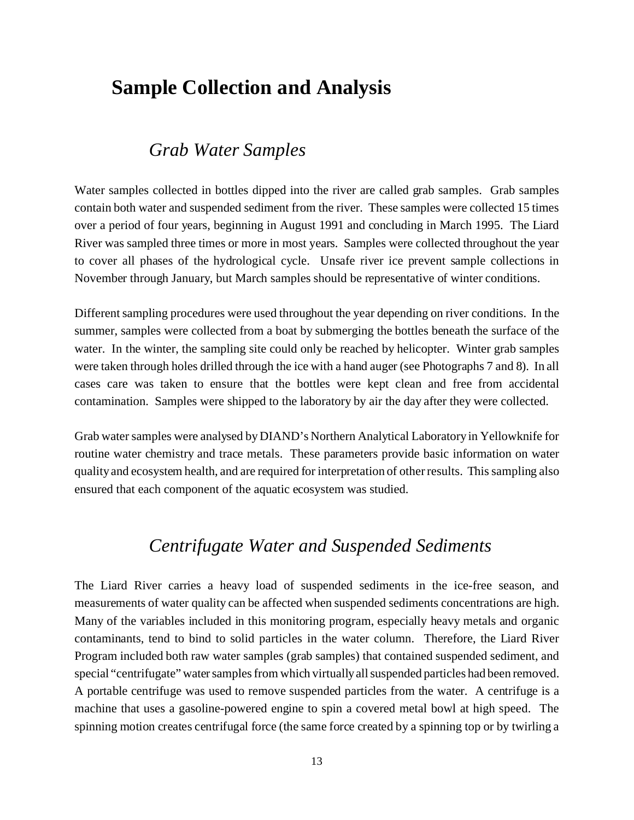### **Sample Collection and Analysis**

### *Grab Water Samples*

Water samples collected in bottles dipped into the river are called grab samples. Grab samples contain both water and suspended sediment from the river. These samples were collected 15 times over a period of four years, beginning in August 1991 and concluding in March 1995. The Liard River was sampled three times or more in most years. Samples were collected throughout the year to cover all phases of the hydrological cycle. Unsafe river ice prevent sample collections in November through January, but March samples should be representative of winter conditions.

Different sampling procedures were used throughout the year depending on river conditions. In the summer, samples were collected from a boat by submerging the bottles beneath the surface of the water. In the winter, the sampling site could only be reached by helicopter. Winter grab samples were taken through holes drilled through the ice with a hand auger (see Photographs 7 and 8). In all cases care was taken to ensure that the bottles were kept clean and free from accidental contamination. Samples were shipped to the laboratory by air the day after they were collected.

Grab water samples were analysed by DIAND's Northern Analytical Laboratory in Yellowknife for routine water chemistry and trace metals. These parameters provide basic information on water quality and ecosystem health, and are required for interpretation of other results. This sampling also ensured that each component of the aquatic ecosystem was studied.

### *Centrifugate Water and Suspended Sediments*

The Liard River carries a heavy load of suspended sediments in the ice-free season, and measurements of water quality can be affected when suspended sediments concentrations are high. Many of the variables included in this monitoring program, especially heavy metals and organic contaminants, tend to bind to solid particles in the water column. Therefore, the Liard River Program included both raw water samples (grab samples) that contained suspended sediment, and special "centrifugate" water samples from which virtually all suspended particles had been removed. A portable centrifuge was used to remove suspended particles from the water. A centrifuge is a machine that uses a gasoline-powered engine to spin a covered metal bowl at high speed. The spinning motion creates centrifugal force (the same force created by a spinning top or by twirling a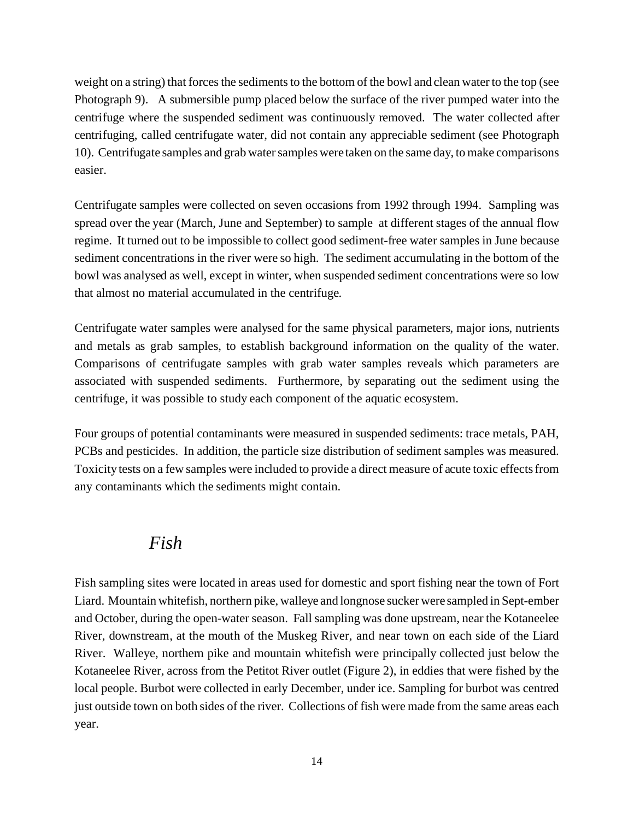weight on a string) that forces the sediments to the bottom of the bowl and clean water to the top (see Photograph 9). A submersible pump placed below the surface of the river pumped water into the centrifuge where the suspended sediment was continuously removed. The water collected after centrifuging, called centrifugate water, did not contain any appreciable sediment (see Photograph 10). Centrifugate samples and grab water samples were taken on the same day, to make comparisons easier.

Centrifugate samples were collected on seven occasions from 1992 through 1994. Sampling was spread over the year (March, June and September) to sample at different stages of the annual flow regime. It turned out to be impossible to collect good sediment-free water samples in June because sediment concentrations in the river were so high. The sediment accumulating in the bottom of the bowl was analysed as well, except in winter, when suspended sediment concentrations were so low that almost no material accumulated in the centrifuge.

Centrifugate water samples were analysed for the same physical parameters, major ions, nutrients and metals as grab samples, to establish background information on the quality of the water. Comparisons of centrifugate samples with grab water samples reveals which parameters are associated with suspended sediments. Furthermore, by separating out the sediment using the centrifuge, it was possible to study each component of the aquatic ecosystem.

Four groups of potential contaminants were measured in suspended sediments: trace metals, PAH, PCBs and pesticides. In addition, the particle size distribution of sediment samples was measured. Toxicity tests on a few samples were included to provide a direct measure of acute toxic effects from any contaminants which the sediments might contain.

### *Fish*

Fish sampling sites were located in areas used for domestic and sport fishing near the town of Fort Liard. Mountain whitefish, northern pike, walleye and longnose sucker were sampled in Sept-ember and October, during the open-water season. Fall sampling was done upstream, near the Kotaneelee River, downstream, at the mouth of the Muskeg River, and near town on each side of the Liard River. Walleye, northern pike and mountain whitefish were principally collected just below the Kotaneelee River, across from the Petitot River outlet (Figure 2), in eddies that were fished by the local people. Burbot were collected in early December, under ice. Sampling for burbot was centred just outside town on both sides of the river. Collections of fish were made from the same areas each year.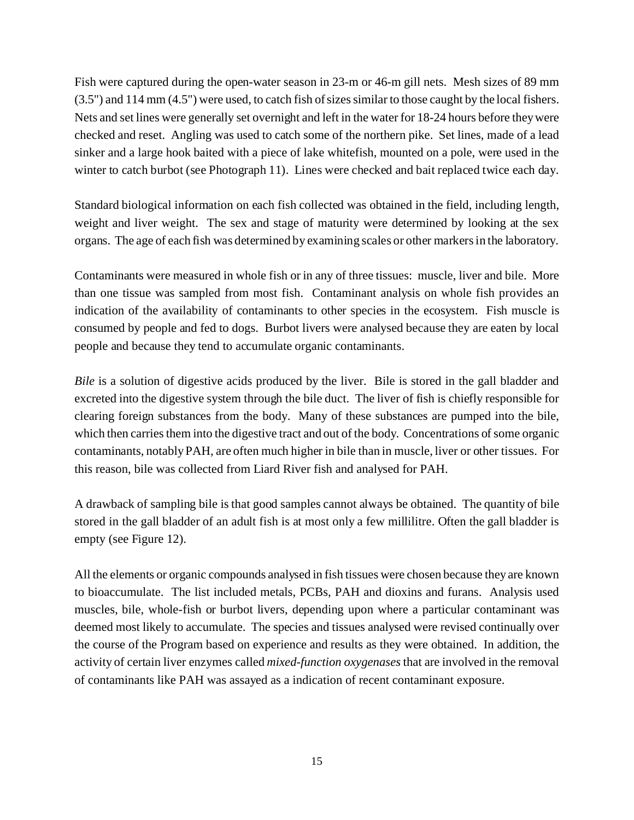Fish were captured during the open-water season in 23-m or 46-m gill nets. Mesh sizes of 89 mm (3.5") and 114 mm (4.5") were used, to catch fish of sizes similar to those caught by the local fishers. Nets and set lines were generally set overnight and left in the water for 18-24 hours before they were checked and reset. Angling was used to catch some of the northern pike. Set lines, made of a lead sinker and a large hook baited with a piece of lake whitefish, mounted on a pole, were used in the winter to catch burbot (see Photograph 11). Lines were checked and bait replaced twice each day.

Standard biological information on each fish collected was obtained in the field, including length, weight and liver weight. The sex and stage of maturity were determined by looking at the sex organs. The age of each fish was determined by examining scales or other markers in the laboratory.

Contaminants were measured in whole fish or in any of three tissues: muscle, liver and bile. More than one tissue was sampled from most fish. Contaminant analysis on whole fish provides an indication of the availability of contaminants to other species in the ecosystem. Fish muscle is consumed by people and fed to dogs. Burbot livers were analysed because they are eaten by local people and because they tend to accumulate organic contaminants.

*Bile* is a solution of digestive acids produced by the liver. Bile is stored in the gall bladder and excreted into the digestive system through the bile duct. The liver of fish is chiefly responsible for clearing foreign substances from the body. Many of these substances are pumped into the bile, which then carries them into the digestive tract and out of the body. Concentrations of some organic contaminants, notably PAH, are often much higher in bile than in muscle, liver or other tissues. For this reason, bile was collected from Liard River fish and analysed for PAH.

A drawback of sampling bile is that good samples cannot always be obtained. The quantity of bile stored in the gall bladder of an adult fish is at most only a few millilitre. Often the gall bladder is empty (see Figure 12).

All the elements or organic compounds analysed in fish tissues were chosen because they are known to bioaccumulate. The list included metals, PCBs, PAH and dioxins and furans. Analysis used muscles, bile, whole-fish or burbot livers, depending upon where a particular contaminant was deemed most likely to accumulate. The species and tissues analysed were revised continually over the course of the Program based on experience and results as they were obtained. In addition, the activity of certain liver enzymes called *mixed-function oxygenases* that are involved in the removal of contaminants like PAH was assayed as a indication of recent contaminant exposure.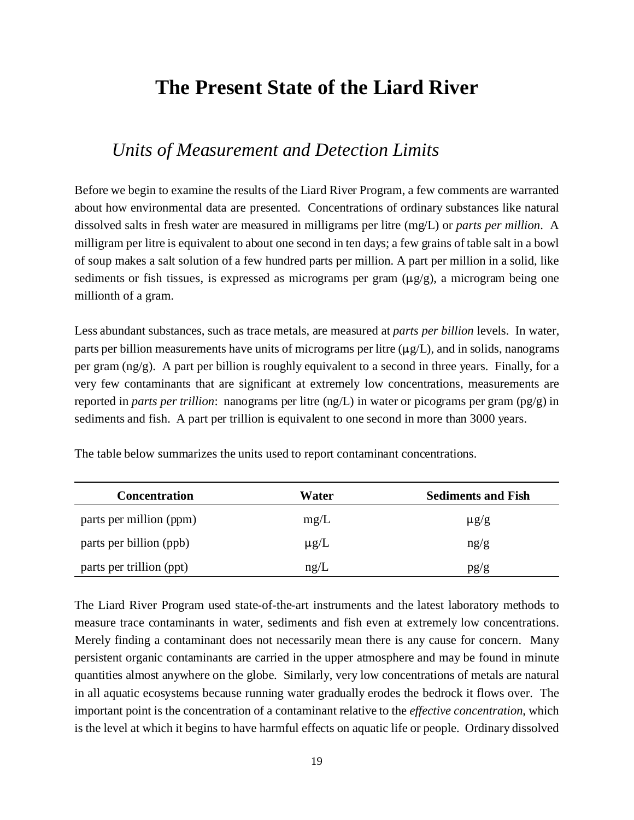# **The Present State of the Liard River**

### *Units of Measurement and Detection Limits*

Before we begin to examine the results of the Liard River Program, a few comments are warranted about how environmental data are presented. Concentrations of ordinary substances like natural dissolved salts in fresh water are measured in milligrams per litre (mg/L) or *parts per million*. A milligram per litre is equivalent to about one second in ten days; a few grains of table salt in a bowl of soup makes a salt solution of a few hundred parts per million. A part per million in a solid, like sediments or fish tissues, is expressed as micrograms per gram  $(\mu g/g)$ , a microgram being one millionth of a gram.

Less abundant substances, such as trace metals, are measured at *parts per billion* levels. In water, parts per billion measurements have units of micrograms per litre  $(\mu g/L)$ , and in solids, nanograms per gram  $(\text{ng/g})$ . A part per billion is roughly equivalent to a second in three years. Finally, for a very few contaminants that are significant at extremely low concentrations, measurements are reported in *parts per trillion*: nanograms per litre (ng/L) in water or picograms per gram (pg/g) in sediments and fish. A part per trillion is equivalent to one second in more than 3000 years.

| <b>Concentration</b>     | Water     | <b>Sediments and Fish</b> |  |  |
|--------------------------|-----------|---------------------------|--|--|
| parts per million (ppm)  | mg/L      | $\mu$ g/g                 |  |  |
| parts per billion (ppb)  | $\mu$ g/L | ng/g                      |  |  |
| parts per trillion (ppt) | ng/L      | pg/g                      |  |  |

The table below summarizes the units used to report contaminant concentrations.

The Liard River Program used state-of-the-art instruments and the latest laboratory methods to measure trace contaminants in water, sediments and fish even at extremely low concentrations. Merely finding a contaminant does not necessarily mean there is any cause for concern. Many persistent organic contaminants are carried in the upper atmosphere and may be found in minute quantities almost anywhere on the globe. Similarly, very low concentrations of metals are natural in all aquatic ecosystems because running water gradually erodes the bedrock it flows over. The important point is the concentration of a contaminant relative to the *effective concentration*, which is the level at which it begins to have harmful effects on aquatic life or people. Ordinary dissolved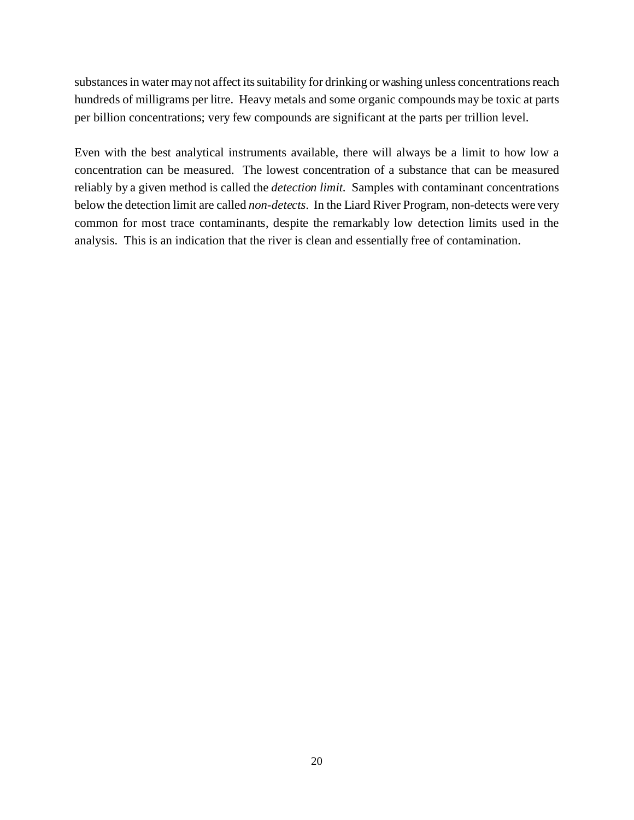substances in water may not affect its suitability for drinking or washing unless concentrations reach hundreds of milligrams per litre. Heavy metals and some organic compounds may be toxic at parts per billion concentrations; very few compounds are significant at the parts per trillion level.

Even with the best analytical instruments available, there will always be a limit to how low a concentration can be measured. The lowest concentration of a substance that can be measured reliably by a given method is called the *detection limit*. Samples with contaminant concentrations below the detection limit are called *non-detects*. In the Liard River Program, non-detects were very common for most trace contaminants, despite the remarkably low detection limits used in the analysis. This is an indication that the river is clean and essentially free of contamination.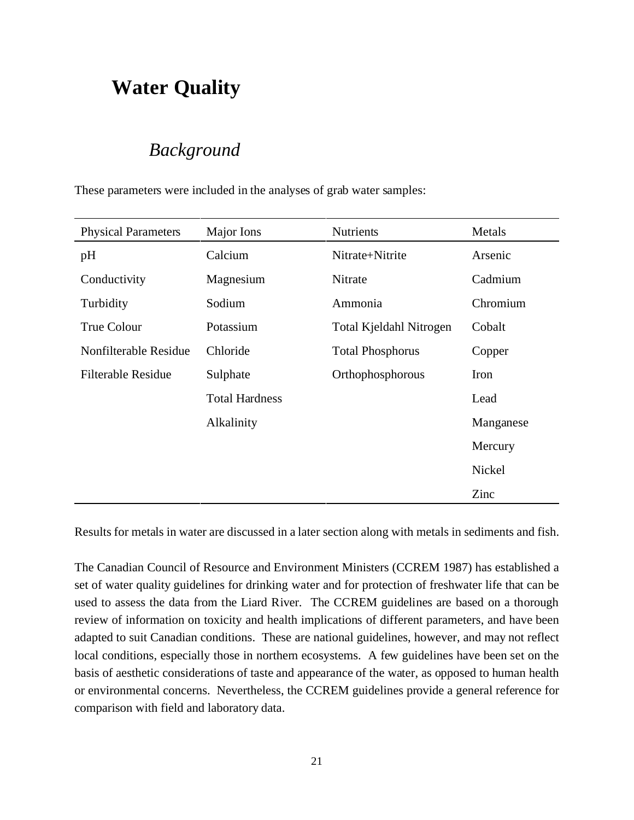# **Water Quality**

### *Background*

These parameters were included in the analyses of grab water samples:

| <b>Physical Parameters</b> | Major Ions            | Nutrients               | Metals    |
|----------------------------|-----------------------|-------------------------|-----------|
| pH                         | Calcium               | Nitrate+Nitrite         | Arsenic   |
| Conductivity               | Magnesium             | Nitrate                 | Cadmium   |
| Turbidity                  | Sodium                | Ammonia                 | Chromium  |
| True Colour                | Potassium             | Total Kjeldahl Nitrogen | Cobalt    |
| Nonfilterable Residue      | Chloride              | <b>Total Phosphorus</b> | Copper    |
| <b>Filterable Residue</b>  | Sulphate              | Orthophosphorous        | Iron      |
|                            | <b>Total Hardness</b> |                         | Lead      |
|                            | Alkalinity            |                         | Manganese |
|                            |                       |                         | Mercury   |
|                            |                       |                         | Nickel    |
|                            |                       |                         | Zinc      |

Results for metals in water are discussed in a later section along with metals in sediments and fish.

The Canadian Council of Resource and Environment Ministers (CCREM 1987) has established a set of water quality guidelines for drinking water and for protection of freshwater life that can be used to assess the data from the Liard River. The CCREM guidelines are based on a thorough review of information on toxicity and health implications of different parameters, and have been adapted to suit Canadian conditions. These are national guidelines, however, and may not reflect local conditions, especially those in northern ecosystems. A few guidelines have been set on the basis of aesthetic considerations of taste and appearance of the water, as opposed to human health or environmental concerns. Nevertheless, the CCREM guidelines provide a general reference for comparison with field and laboratory data.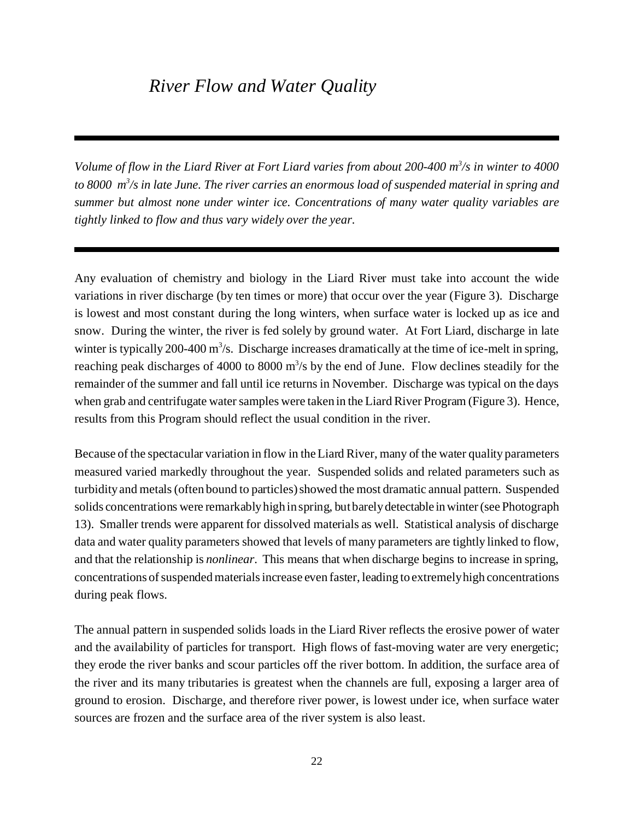### *River Flow and Water Quality*

*Volume of flow in the Liard River at Fort Liard varies from about 200-400 m<sup>3</sup> /s in winter to 4000 to 8000 m<sup>3</sup> /s in late June. The river carries an enormous load of suspended material in spring and summer but almost none under winter ice. Concentrations of many water quality variables are tightly linked to flow and thus vary widely over the year.*

Any evaluation of chemistry and biology in the Liard River must take into account the wide variations in river discharge (by ten times or more) that occur over the year (Figure 3). Discharge is lowest and most constant during the long winters, when surface water is locked up as ice and snow. During the winter, the river is fed solely by ground water. At Fort Liard, discharge in late winter is typically 200-400  $m^3/s$ . Discharge increases dramatically at the time of ice-melt in spring, reaching peak discharges of 4000 to 8000 m<sup>3</sup>/s by the end of June. Flow declines steadily for the remainder of the summer and fall until ice returns in November. Discharge was typical on the days when grab and centrifugate water samples were taken in the Liard River Program (Figure 3). Hence, results from this Program should reflect the usual condition in the river.

Because of the spectacular variation in flow in the Liard River, many of the water quality parameters measured varied markedly throughout the year. Suspended solids and related parameters such as turbidity and metals (often bound to particles) showed the most dramatic annual pattern. Suspended solids concentrations were remarkably high in spring, but barely detectable in winter (see Photograph 13). Smaller trends were apparent for dissolved materials as well. Statistical analysis of discharge data and water quality parameters showed that levels of many parameters are tightly linked to flow, and that the relationship is *nonlinear*. This means that when discharge begins to increase in spring, concentrations of suspended materials increase even faster, leading to extremely high concentrations during peak flows.

The annual pattern in suspended solids loads in the Liard River reflects the erosive power of water and the availability of particles for transport. High flows of fast-moving water are very energetic; they erode the river banks and scour particles off the river bottom. In addition, the surface area of the river and its many tributaries is greatest when the channels are full, exposing a larger area of ground to erosion. Discharge, and therefore river power, is lowest under ice, when surface water sources are frozen and the surface area of the river system is also least.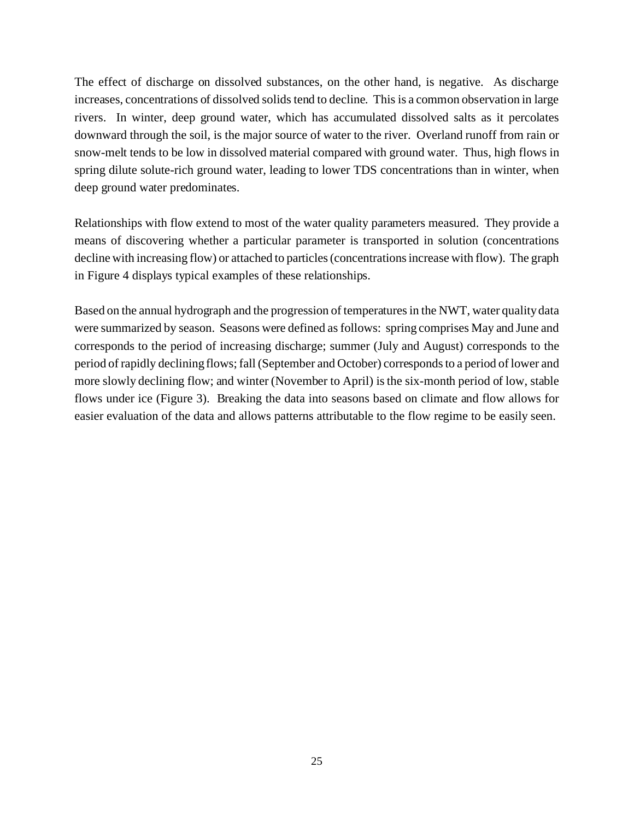The effect of discharge on dissolved substances, on the other hand, is negative. As discharge increases, concentrations of dissolved solids tend to decline. This is a common observation in large rivers. In winter, deep ground water, which has accumulated dissolved salts as it percolates downward through the soil, is the major source of water to the river. Overland runoff from rain or snow-melt tends to be low in dissolved material compared with ground water. Thus, high flows in spring dilute solute-rich ground water, leading to lower TDS concentrations than in winter, when deep ground water predominates.

Relationships with flow extend to most of the water quality parameters measured. They provide a means of discovering whether a particular parameter is transported in solution (concentrations decline with increasing flow) or attached to particles (concentrations increase with flow). The graph in Figure 4 displays typical examples of these relationships.

Based on the annual hydrograph and the progression of temperatures in the NWT, water quality data were summarized by season. Seasons were defined as follows: spring comprises May and June and corresponds to the period of increasing discharge; summer (July and August) corresponds to the period of rapidly declining flows; fall (September and October) corresponds to a period of lower and more slowly declining flow; and winter (November to April) is the six-month period of low, stable flows under ice (Figure 3). Breaking the data into seasons based on climate and flow allows for easier evaluation of the data and allows patterns attributable to the flow regime to be easily seen.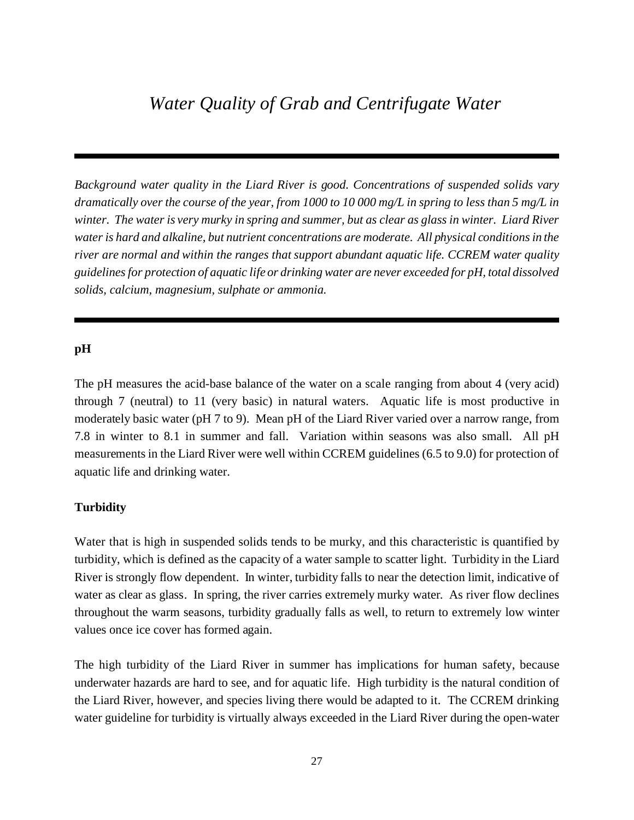*Background water quality in the Liard River is good. Concentrations of suspended solids vary dramatically over the course of the year, from 1000 to 10 000 mg/L in spring to less than 5 mg/L in winter. The water is very murky in spring and summer, but as clear as glass in winter. Liard River water is hard and alkaline, but nutrient concentrations are moderate. All physical conditions in the river are normal and within the ranges that support abundant aquatic life. CCREM water quality guidelines for protection of aquatic life or drinking water are never exceeded for pH, total dissolved solids, calcium, magnesium, sulphate or ammonia.*

#### **pH**

The pH measures the acid-base balance of the water on a scale ranging from about 4 (very acid) through 7 (neutral) to 11 (very basic) in natural waters. Aquatic life is most productive in moderately basic water (pH 7 to 9). Mean pH of the Liard River varied over a narrow range, from 7.8 in winter to 8.1 in summer and fall. Variation within seasons was also small. All pH measurements in the Liard River were well within CCREM guidelines (6.5 to 9.0) for protection of aquatic life and drinking water.

#### **Turbidity**

Water that is high in suspended solids tends to be murky, and this characteristic is quantified by turbidity, which is defined as the capacity of a water sample to scatter light. Turbidity in the Liard River is strongly flow dependent. In winter, turbidity falls to near the detection limit, indicative of water as clear as glass. In spring, the river carries extremely murky water. As river flow declines throughout the warm seasons, turbidity gradually falls as well, to return to extremely low winter values once ice cover has formed again.

The high turbidity of the Liard River in summer has implications for human safety, because underwater hazards are hard to see, and for aquatic life. High turbidity is the natural condition of the Liard River, however, and species living there would be adapted to it. The CCREM drinking water guideline for turbidity is virtually always exceeded in the Liard River during the open-water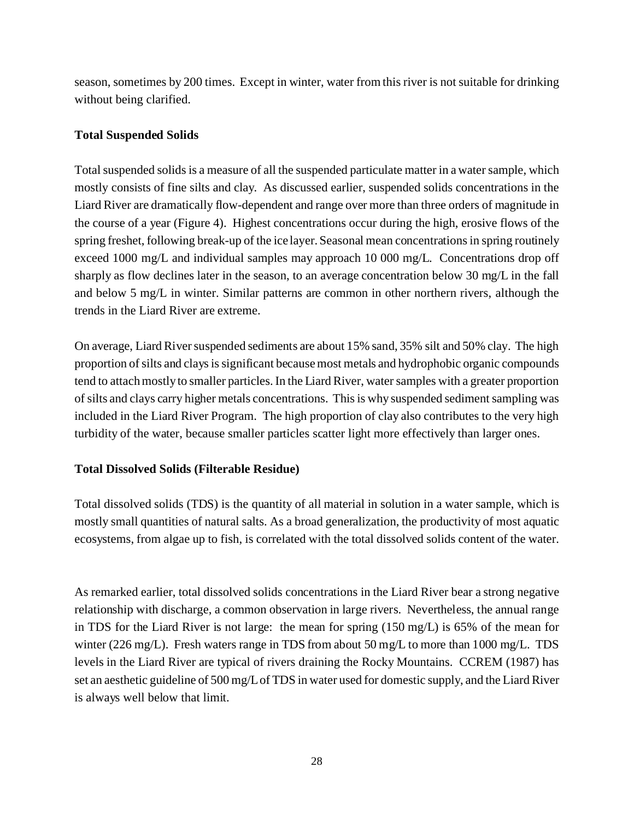season, sometimes by 200 times. Except in winter, water from this river is not suitable for drinking without being clarified.

#### **Total Suspended Solids**

Total suspended solids is a measure of all the suspended particulate matter in a water sample, which mostly consists of fine silts and clay. As discussed earlier, suspended solids concentrations in the Liard River are dramatically flow-dependent and range over more than three orders of magnitude in the course of a year (Figure 4). Highest concentrations occur during the high, erosive flows of the spring freshet, following break-up of the ice layer. Seasonal mean concentrations in spring routinely exceed 1000 mg/L and individual samples may approach 10 000 mg/L. Concentrations drop off sharply as flow declines later in the season, to an average concentration below 30 mg/L in the fall and below 5 mg/L in winter. Similar patterns are common in other northern rivers, although the trends in the Liard River are extreme.

On average, Liard River suspended sediments are about 15% sand, 35% silt and 50% clay. The high proportion of silts and clays is significant because most metals and hydrophobic organic compounds tend to attach mostly to smaller particles. In the Liard River, water samples with a greater proportion of silts and clays carry higher metals concentrations. This is why suspended sediment sampling was included in the Liard River Program. The high proportion of clay also contributes to the very high turbidity of the water, because smaller particles scatter light more effectively than larger ones.

#### **Total Dissolved Solids (Filterable Residue)**

Total dissolved solids (TDS) is the quantity of all material in solution in a water sample, which is mostly small quantities of natural salts. As a broad generalization, the productivity of most aquatic ecosystems, from algae up to fish, is correlated with the total dissolved solids content of the water.

As remarked earlier, total dissolved solids concentrations in the Liard River bear a strong negative relationship with discharge, a common observation in large rivers. Nevertheless, the annual range in TDS for the Liard River is not large: the mean for spring (150 mg/L) is 65% of the mean for winter (226 mg/L). Fresh waters range in TDS from about 50 mg/L to more than 1000 mg/L. TDS levels in the Liard River are typical of rivers draining the Rocky Mountains. CCREM (1987) has set an aesthetic guideline of 500 mg/L of TDS in water used for domestic supply, and the Liard River is always well below that limit.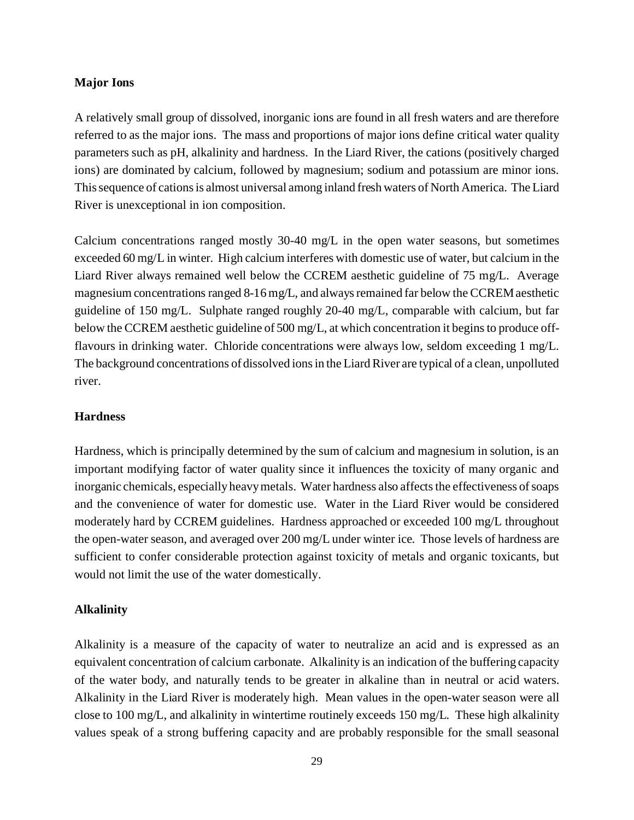#### **Major Ions**

A relatively small group of dissolved, inorganic ions are found in all fresh waters and are therefore referred to as the major ions. The mass and proportions of major ions define critical water quality parameters such as pH, alkalinity and hardness. In the Liard River, the cations (positively charged ions) are dominated by calcium, followed by magnesium; sodium and potassium are minor ions. This sequence of cations is almost universal among inland fresh waters of North America. The Liard River is unexceptional in ion composition.

Calcium concentrations ranged mostly 30-40 mg/L in the open water seasons, but sometimes exceeded 60 mg/L in winter. High calcium interferes with domestic use of water, but calcium in the Liard River always remained well below the CCREM aesthetic guideline of 75 mg/L. Average magnesium concentrations ranged 8-16 mg/L, and always remained far below the CCREM aesthetic guideline of 150 mg/L. Sulphate ranged roughly 20-40 mg/L, comparable with calcium, but far below the CCREM aesthetic guideline of 500 mg/L, at which concentration it begins to produce offflavours in drinking water. Chloride concentrations were always low, seldom exceeding 1 mg/L. The background concentrations of dissolved ions in the Liard River are typical of a clean, unpolluted river.

#### **Hardness**

Hardness, which is principally determined by the sum of calcium and magnesium in solution, is an important modifying factor of water quality since it influences the toxicity of many organic and inorganic chemicals, especially heavy metals. Water hardness also affects the effectiveness of soaps and the convenience of water for domestic use. Water in the Liard River would be considered moderately hard by CCREM guidelines. Hardness approached or exceeded 100 mg/L throughout the open-water season, and averaged over 200 mg/L under winter ice. Those levels of hardness are sufficient to confer considerable protection against toxicity of metals and organic toxicants, but would not limit the use of the water domestically.

#### **Alkalinity**

Alkalinity is a measure of the capacity of water to neutralize an acid and is expressed as an equivalent concentration of calcium carbonate. Alkalinity is an indication of the buffering capacity of the water body, and naturally tends to be greater in alkaline than in neutral or acid waters. Alkalinity in the Liard River is moderately high. Mean values in the open-water season were all close to 100 mg/L, and alkalinity in wintertime routinely exceeds 150 mg/L. These high alkalinity values speak of a strong buffering capacity and are probably responsible for the small seasonal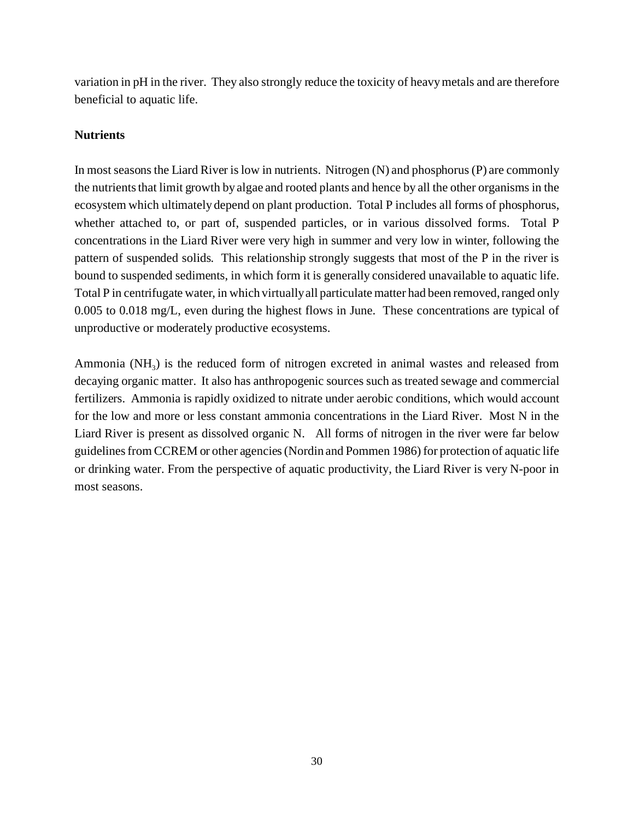variation in pH in the river. They also strongly reduce the toxicity of heavy metals and are therefore beneficial to aquatic life.

#### **Nutrients**

In most seasons the Liard River is low in nutrients. Nitrogen (N) and phosphorus (P) are commonly the nutrients that limit growth by algae and rooted plants and hence by all the other organisms in the ecosystem which ultimately depend on plant production. Total P includes all forms of phosphorus, whether attached to, or part of, suspended particles, or in various dissolved forms. Total P concentrations in the Liard River were very high in summer and very low in winter, following the pattern of suspended solids. This relationship strongly suggests that most of the P in the river is bound to suspended sediments, in which form it is generally considered unavailable to aquatic life. Total P in centrifugate water, in which virtually all particulate matter had been removed, ranged only 0.005 to 0.018 mg/L, even during the highest flows in June. These concentrations are typical of unproductive or moderately productive ecosystems.

Ammonia  $(NH_3)$  is the reduced form of nitrogen excreted in animal wastes and released from decaying organic matter. It also has anthropogenic sources such as treated sewage and commercial fertilizers. Ammonia is rapidly oxidized to nitrate under aerobic conditions, which would account for the low and more or less constant ammonia concentrations in the Liard River. Most N in the Liard River is present as dissolved organic N. All forms of nitrogen in the river were far below guidelines from CCREM or other agencies (Nordin and Pommen 1986) for protection of aquatic life or drinking water. From the perspective of aquatic productivity, the Liard River is very N-poor in most seasons.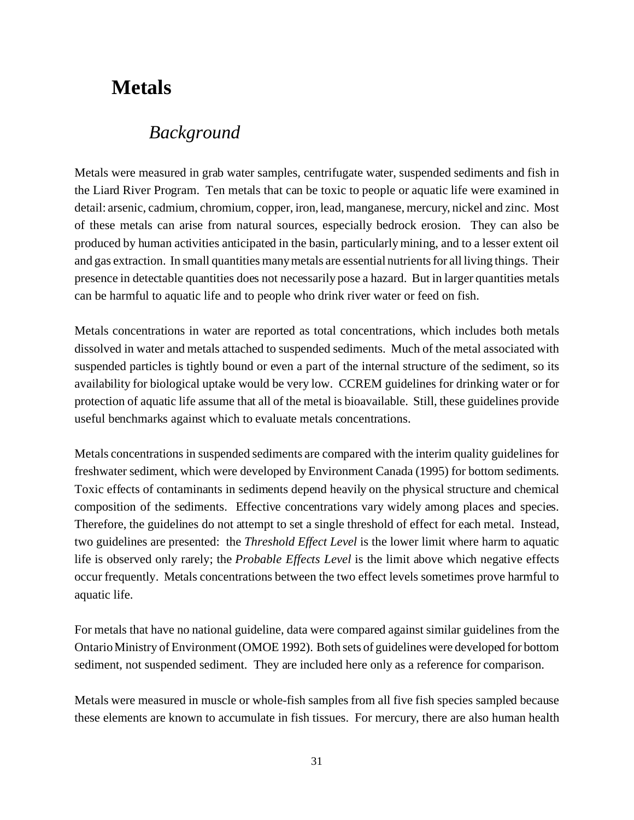# **Metals**

### *Background*

Metals were measured in grab water samples, centrifugate water, suspended sediments and fish in the Liard River Program. Ten metals that can be toxic to people or aquatic life were examined in detail: arsenic, cadmium, chromium, copper, iron, lead, manganese, mercury, nickel and zinc. Most of these metals can arise from natural sources, especially bedrock erosion. They can also be produced by human activities anticipated in the basin, particularly mining, and to a lesser extent oil and gas extraction. In small quantities many metals are essential nutrients for all living things. Their presence in detectable quantities does not necessarily pose a hazard. But in larger quantities metals can be harmful to aquatic life and to people who drink river water or feed on fish.

Metals concentrations in water are reported as total concentrations, which includes both metals dissolved in water and metals attached to suspended sediments. Much of the metal associated with suspended particles is tightly bound or even a part of the internal structure of the sediment, so its availability for biological uptake would be very low. CCREM guidelines for drinking water or for protection of aquatic life assume that all of the metal is bioavailable. Still, these guidelines provide useful benchmarks against which to evaluate metals concentrations.

Metals concentrations in suspended sediments are compared with the interim quality guidelines for freshwater sediment, which were developed by Environment Canada (1995) for bottom sediments. Toxic effects of contaminants in sediments depend heavily on the physical structure and chemical composition of the sediments. Effective concentrations vary widely among places and species. Therefore, the guidelines do not attempt to set a single threshold of effect for each metal. Instead, two guidelines are presented: the *Threshold Effect Level* is the lower limit where harm to aquatic life is observed only rarely; the *Probable Effects Level* is the limit above which negative effects occur frequently. Metals concentrations between the two effect levels sometimes prove harmful to aquatic life.

For metals that have no national guideline, data were compared against similar guidelines from the Ontario Ministry of Environment (OMOE 1992). Both sets of guidelines were developed for bottom sediment, not suspended sediment. They are included here only as a reference for comparison.

Metals were measured in muscle or whole-fish samples from all five fish species sampled because these elements are known to accumulate in fish tissues. For mercury, there are also human health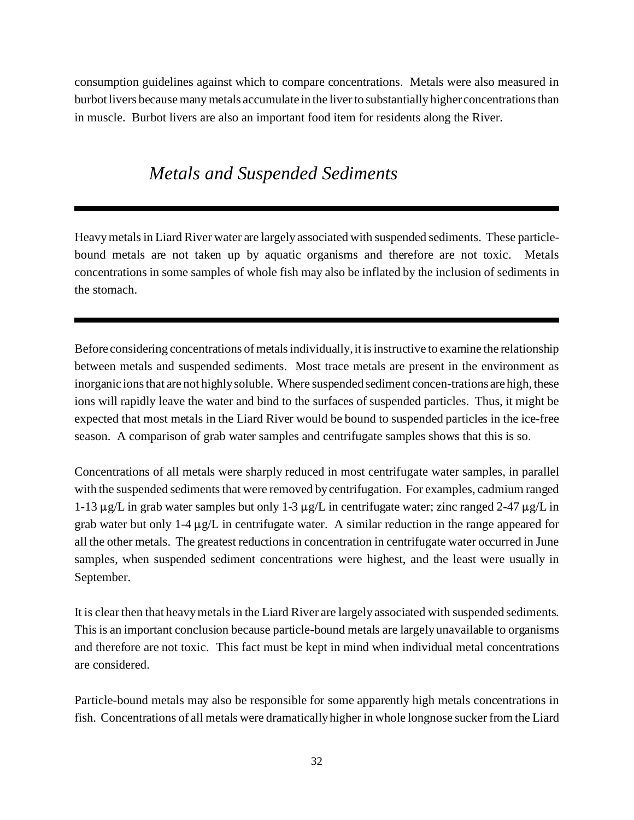consumption guidelines against which to compare concentrations. Metals were also measured in burbot livers because many metals accumulate in the liver to substantially higher concentrations than in muscle. Burbot livers are also an important food item for residents along the River.

### *Metals and Suspended Sediments*

Heavy metals in Liard River water are largely associated with suspended sediments. These particlebound metals are not taken up by aquatic organisms and therefore are not toxic. Metals concentrations in some samples of whole fish may also be inflated by the inclusion of sediments in the stomach.

Before considering concentrations of metals individually, it is instructive to examine the relationship between metals and suspended sediments. Most trace metals are present in the environment as inorganic ions that are not highly soluble. Where suspended sediment concen-trations are high, these ions will rapidly leave the water and bind to the surfaces of suspended particles. Thus, it might be expected that most metals in the Liard River would be bound to suspended particles in the ice-free season. A comparison of grab water samples and centrifugate samples shows that this is so.

Concentrations of all metals were sharply reduced in most centrifugate water samples, in parallel with the suspended sediments that were removed by centrifugation. For examples, cadmium ranged 1-13  $\mu$ g/L in grab water samples but only 1-3  $\mu$ g/L in centrifugate water; zinc ranged 2-47  $\mu$ g/L in grab water but only 1-4  $\mu$ g/L in centrifugate water. A similar reduction in the range appeared for all the other metals. The greatest reductions in concentration in centrifugate water occurred in June samples, when suspended sediment concentrations were highest, and the least were usually in September.

It is clear then that heavy metals in the Liard River are largely associated with suspended sediments. This is an important conclusion because particle-bound metals are largely unavailable to organisms and therefore are not toxic. This fact must be kept in mind when individual metal concentrations are considered.

Particle-bound metals may also be responsible for some apparently high metals concentrations in fish. Concentrations of all metals were dramatically higher in whole longnose sucker from the Liard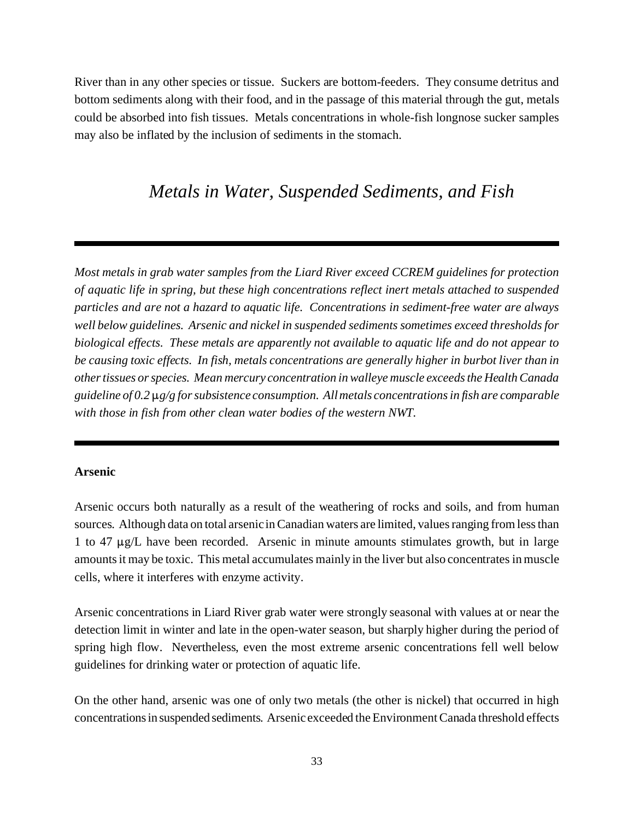River than in any other species or tissue. Suckers are bottom-feeders. They consume detritus and bottom sediments along with their food, and in the passage of this material through the gut, metals could be absorbed into fish tissues. Metals concentrations in whole-fish longnose sucker samples may also be inflated by the inclusion of sediments in the stomach.

### *Metals in Water, Suspended Sediments, and Fish*

*Most metals in grab water samples from the Liard River exceed CCREM guidelines for protection of aquatic life in spring, but these high concentrations reflect inert metals attached to suspended particles and are not a hazard to aquatic life. Concentrations in sediment-free water are always well below guidelines. Arsenic and nickel in suspended sediments sometimes exceed thresholds for biological effects. These metals are apparently not available to aquatic life and do not appear to be causing toxic effects. In fish, metals concentrations are generally higher in burbot liver than in other tissues or species. Mean mercury concentration in walleye muscle exceeds the Health Canada* guideline of 0.2  $\mu$ g/g for subsistence consumption. All metals concentrations in fish are comparable *with those in fish from other clean water bodies of the western NWT.*

#### **Arsenic**

Arsenic occurs both naturally as a result of the weathering of rocks and soils, and from human sources. Although data on total arsenic in Canadian waters are limited, values ranging from less than 1 to 47  $\mu$ g/L have been recorded. Arsenic in minute amounts stimulates growth, but in large amounts it may be toxic. This metal accumulates mainly in the liver but also concentrates in muscle cells, where it interferes with enzyme activity.

Arsenic concentrations in Liard River grab water were strongly seasonal with values at or near the detection limit in winter and late in the open-water season, but sharply higher during the period of spring high flow. Nevertheless, even the most extreme arsenic concentrations fell well below guidelines for drinking water or protection of aquatic life.

On the other hand, arsenic was one of only two metals (the other is nickel) that occurred in high concentrationsin suspended sediments. Arsenic exceeded the Environment Canada threshold effects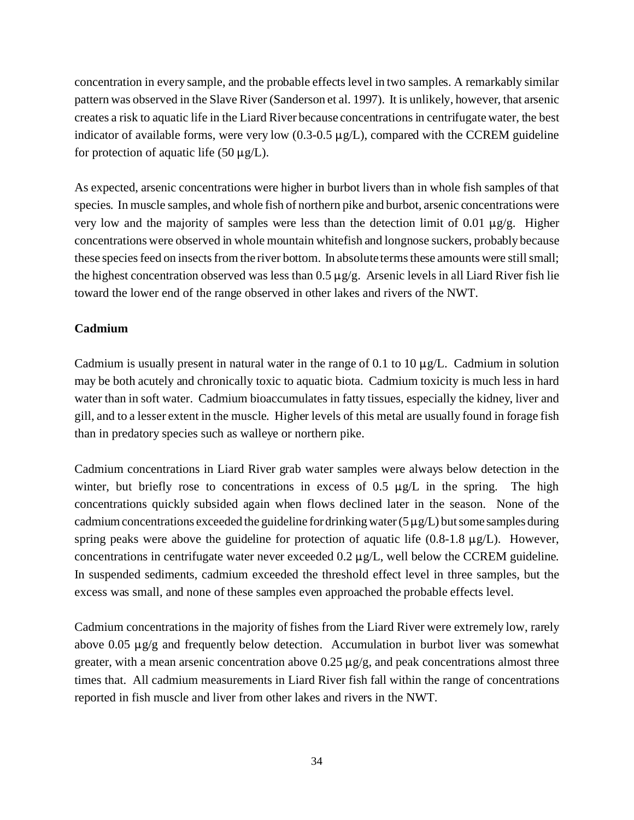concentration in every sample, and the probable effects level in two samples. A remarkably similar pattern was observed in the Slave River (Sanderson et al. 1997). It is unlikely, however, that arsenic creates a risk to aquatic life in the Liard River because concentrations in centrifugate water, the best indicator of available forms, were very low  $(0.3{\text -}0.5 \,\mu g/L)$ , compared with the CCREM guideline for protection of aquatic life (50  $\mu$ g/L).

As expected, arsenic concentrations were higher in burbot livers than in whole fish samples of that species. In muscle samples, and whole fish of northern pike and burbot, arsenic concentrations were very low and the majority of samples were less than the detection limit of 0.01  $\mu$ g/g. Higher concentrations were observed in whole mountain whitefish and longnose suckers, probably because these species feed on insects from the river bottom. In absolute terms these amounts were still small; the highest concentration observed was less than  $0.5 \mu g/g$ . Arsenic levels in all Liard River fish lie toward the lower end of the range observed in other lakes and rivers of the NWT.

#### **Cadmium**

Cadmium is usually present in natural water in the range of 0.1 to 10  $\mu$ g/L. Cadmium in solution may be both acutely and chronically toxic to aquatic biota. Cadmium toxicity is much less in hard water than in soft water. Cadmium bioaccumulates in fatty tissues, especially the kidney, liver and gill, and to a lesser extent in the muscle. Higher levels of this metal are usually found in forage fish than in predatory species such as walleye or northern pike.

Cadmium concentrations in Liard River grab water samples were always below detection in the winter, but briefly rose to concentrations in excess of 0.5  $\mu$ g/L in the spring. The high concentrations quickly subsided again when flows declined later in the season. None of the cadmium concentrations exceeded the guideline for drinking water (5  $\mu$ g/L) but some samples during spring peaks were above the guideline for protection of aquatic life  $(0.8-1.8 \mu g/L)$ . However, concentrations in centrifugate water never exceeded  $0.2 \mu g/L$ , well below the CCREM guideline. In suspended sediments, cadmium exceeded the threshold effect level in three samples, but the excess was small, and none of these samples even approached the probable effects level.

Cadmium concentrations in the majority of fishes from the Liard River were extremely low, rarely above 0.05  $\mu$ g/g and frequently below detection. Accumulation in burbot liver was somewhat greater, with a mean arsenic concentration above  $0.25 \mu g/g$ , and peak concentrations almost three times that. All cadmium measurements in Liard River fish fall within the range of concentrations reported in fish muscle and liver from other lakes and rivers in the NWT.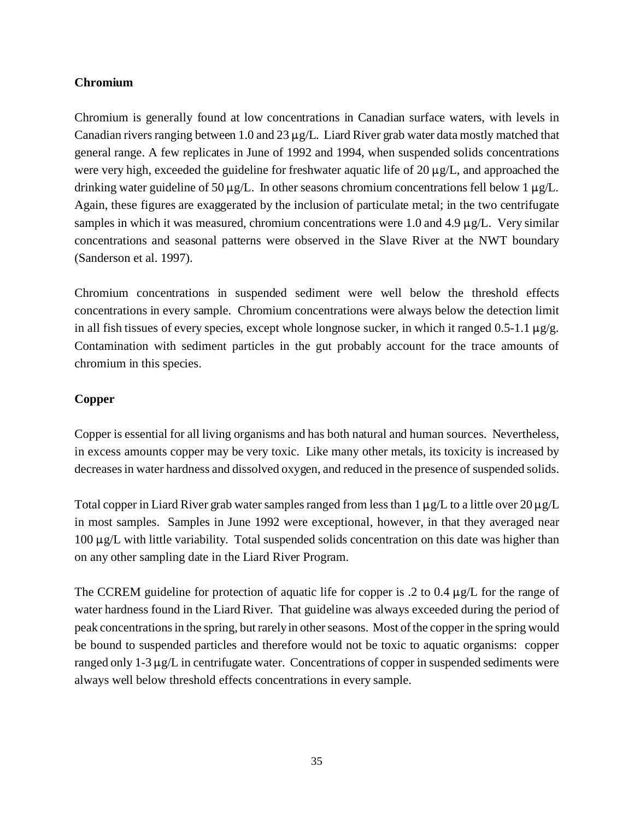#### **Chromium**

Chromium is generally found at low concentrations in Canadian surface waters, with levels in Canadian rivers ranging between 1.0 and 23  $\mu$ g/L. Liard River grab water data mostly matched that general range. A few replicates in June of 1992 and 1994, when suspended solids concentrations were very high, exceeded the guideline for freshwater aquatic life of  $20 \mu g/L$ , and approached the drinking water guideline of 50  $\mu$ g/L. In other seasons chromium concentrations fell below 1  $\mu$ g/L. Again, these figures are exaggerated by the inclusion of particulate metal; in the two centrifugate samples in which it was measured, chromium concentrations were 1.0 and 4.9  $\mu$ g/L. Very similar concentrations and seasonal patterns were observed in the Slave River at the NWT boundary (Sanderson et al. 1997).

Chromium concentrations in suspended sediment were well below the threshold effects concentrations in every sample. Chromium concentrations were always below the detection limit in all fish tissues of every species, except whole longnose sucker, in which it ranged 0.5-1.1  $\mu$ g/g. Contamination with sediment particles in the gut probably account for the trace amounts of chromium in this species.

#### **Copper**

Copper is essential for all living organisms and has both natural and human sources. Nevertheless, in excess amounts copper may be very toxic. Like many other metals, its toxicity is increased by decreases in water hardness and dissolved oxygen, and reduced in the presence of suspended solids.

Total copper in Liard River grab water samples ranged from less than  $1 \mu g/L$  to a little over  $20 \mu g/L$ in most samples. Samples in June 1992 were exceptional, however, in that they averaged near  $100 \mu g/L$  with little variability. Total suspended solids concentration on this date was higher than on any other sampling date in the Liard River Program.

The CCREM guideline for protection of aquatic life for copper is .2 to 0.4  $\mu$ g/L for the range of water hardness found in the Liard River. That guideline was always exceeded during the period of peak concentrations in the spring, but rarely in other seasons. Most of the copper in the spring would be bound to suspended particles and therefore would not be toxic to aquatic organisms: copper ranged only  $1-3 \mu g/L$  in centrifugate water. Concentrations of copper in suspended sediments were always well below threshold effects concentrations in every sample.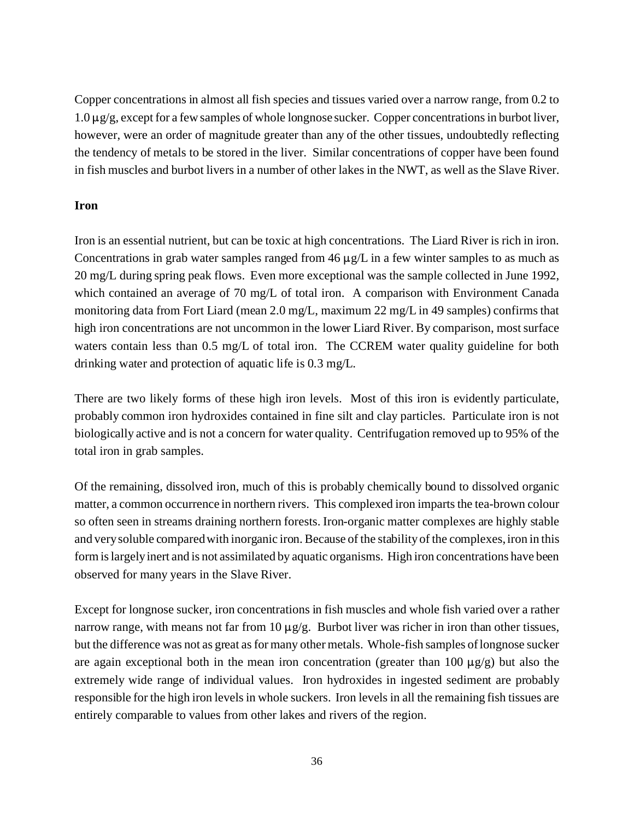Copper concentrations in almost all fish species and tissues varied over a narrow range, from 0.2 to  $1.0 \mu$ g/g, except for a few samples of whole longnose sucker. Copper concentrations in burbot liver, however, were an order of magnitude greater than any of the other tissues, undoubtedly reflecting the tendency of metals to be stored in the liver. Similar concentrations of copper have been found in fish muscles and burbot livers in a number of other lakes in the NWT, as well as the Slave River.

#### **Iron**

Iron is an essential nutrient, but can be toxic at high concentrations. The Liard River is rich in iron. Concentrations in grab water samples ranged from  $46 \mu g/L$  in a few winter samples to as much as 20 mg/L during spring peak flows. Even more exceptional was the sample collected in June 1992, which contained an average of 70 mg/L of total iron. A comparison with Environment Canada monitoring data from Fort Liard (mean 2.0 mg/L, maximum 22 mg/L in 49 samples) confirms that high iron concentrations are not uncommon in the lower Liard River. By comparison, most surface waters contain less than 0.5 mg/L of total iron. The CCREM water quality guideline for both drinking water and protection of aquatic life is 0.3 mg/L.

There are two likely forms of these high iron levels. Most of this iron is evidently particulate, probably common iron hydroxides contained in fine silt and clay particles. Particulate iron is not biologically active and is not a concern for water quality. Centrifugation removed up to 95% of the total iron in grab samples.

Of the remaining, dissolved iron, much of this is probably chemically bound to dissolved organic matter, a common occurrence in northern rivers. This complexed iron imparts the tea-brown colour so often seen in streams draining northern forests. Iron-organic matter complexes are highly stable and very soluble compared with inorganic iron. Because of the stability of the complexes, iron in this form is largely inert and is not assimilated by aquatic organisms. High iron concentrations have been observed for many years in the Slave River.

Except for longnose sucker, iron concentrations in fish muscles and whole fish varied over a rather narrow range, with means not far from 10  $\mu$ g/g. Burbot liver was richer in iron than other tissues, but the difference was not as great as for many other metals. Whole-fish samples of longnose sucker are again exceptional both in the mean iron concentration (greater than 100  $\mu$ g/g) but also the extremely wide range of individual values. Iron hydroxides in ingested sediment are probably responsible for the high iron levels in whole suckers. Iron levels in all the remaining fish tissues are entirely comparable to values from other lakes and rivers of the region.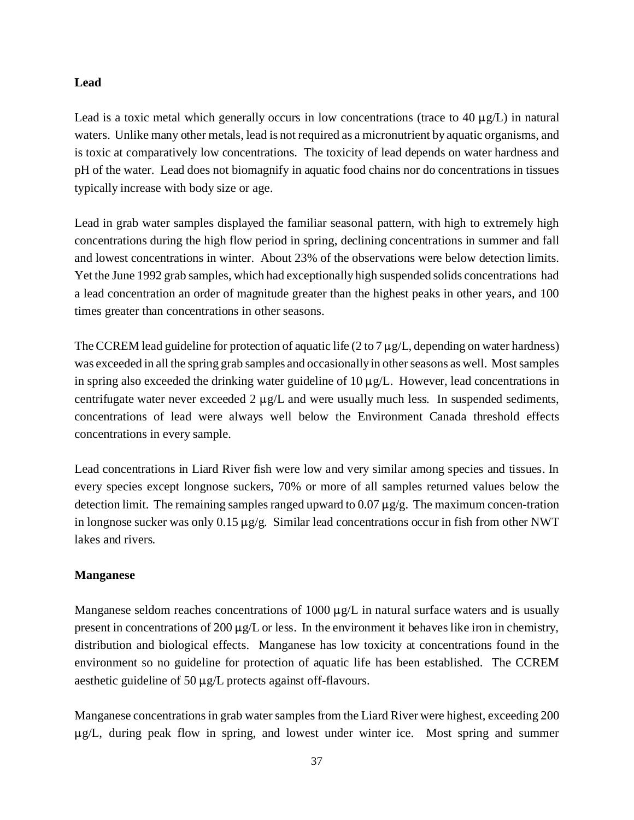#### **Lead**

Lead is a toxic metal which generally occurs in low concentrations (trace to 40  $\mu$ g/L) in natural waters. Unlike many other metals, lead is not required as a micronutrient by aquatic organisms, and is toxic at comparatively low concentrations. The toxicity of lead depends on water hardness and pH of the water. Lead does not biomagnify in aquatic food chains nor do concentrations in tissues typically increase with body size or age.

Lead in grab water samples displayed the familiar seasonal pattern, with high to extremely high concentrations during the high flow period in spring, declining concentrations in summer and fall and lowest concentrations in winter. About 23% of the observations were below detection limits. Yet the June 1992 grab samples, which had exceptionally high suspended solids concentrations had a lead concentration an order of magnitude greater than the highest peaks in other years, and 100 times greater than concentrations in other seasons.

The CCREM lead guideline for protection of aquatic life (2 to 7  $\mu$ g/L, depending on water hardness) was exceeded in all the spring grab samples and occasionally in other seasons as well. Most samples in spring also exceeded the drinking water guideline of  $10 \mu g/L$ . However, lead concentrations in centrifugate water never exceeded 2  $\mu$ g/L and were usually much less. In suspended sediments, concentrations of lead were always well below the Environment Canada threshold effects concentrations in every sample.

Lead concentrations in Liard River fish were low and very similar among species and tissues. In every species except longnose suckers, 70% or more of all samples returned values below the detection limit. The remaining samples ranged upward to  $0.07 \mu g/g$ . The maximum concen-tration in longnose sucker was only  $0.15 \mu g/g$ . Similar lead concentrations occur in fish from other NWT lakes and rivers.

#### **Manganese**

Manganese seldom reaches concentrations of 1000  $\mu$ g/L in natural surface waters and is usually present in concentrations of 200  $\mu$ g/L or less. In the environment it behaves like iron in chemistry, distribution and biological effects. Manganese has low toxicity at concentrations found in the environment so no guideline for protection of aquatic life has been established. The CCREM aesthetic guideline of 50  $\mu$ g/L protects against off-flavours.

Manganese concentrations in grab water samples from the Liard River were highest, exceeding 200  $\mu$ g/L, during peak flow in spring, and lowest under winter ice. Most spring and summer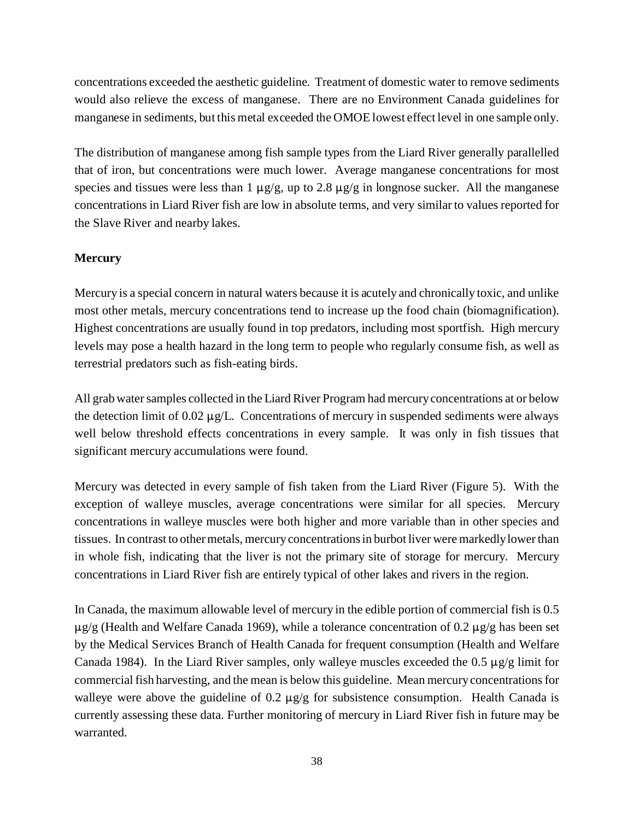concentrations exceeded the aesthetic guideline. Treatment of domestic water to remove sediments would also relieve the excess of manganese. There are no Environment Canada guidelines for manganese in sediments, but this metal exceeded the OMOE lowest effect level in one sample only.

The distribution of manganese among fish sample types from the Liard River generally parallelled that of iron, but concentrations were much lower. Average manganese concentrations for most species and tissues were less than 1  $\mu$ g/g, up to 2.8  $\mu$ g/g in longnose sucker. All the manganese concentrations in Liard River fish are low in absolute terms, and very similar to values reported for the Slave River and nearby lakes.

#### **Mercury**

Mercury is a special concern in natural waters because it is acutely and chronically toxic, and unlike most other metals, mercury concentrations tend to increase up the food chain (biomagnification). Highest concentrations are usually found in top predators, including most sportfish. High mercury levels may pose a health hazard in the long term to people who regularly consume fish, as well as terrestrial predators such as fish-eating birds.

All grab water samples collected in the Liard River Program had mercury concentrations at or below the detection limit of  $0.02 \mu g/L$ . Concentrations of mercury in suspended sediments were always well below threshold effects concentrations in every sample. It was only in fish tissues that significant mercury accumulations were found.

Mercury was detected in every sample of fish taken from the Liard River (Figure 5). With the exception of walleye muscles, average concentrations were similar for all species. Mercury concentrations in walleye muscles were both higher and more variable than in other species and tissues. In contrast to other metals, mercury concentrations in burbot liver were markedly lower than in whole fish, indicating that the liver is not the primary site of storage for mercury. Mercury concentrations in Liard River fish are entirely typical of other lakes and rivers in the region.

In Canada, the maximum allowable level of mercury in the edible portion of commercial fish is 0.5  $\mu$ g/g (Health and Welfare Canada 1969), while a tolerance concentration of 0.2  $\mu$ g/g has been set by the Medical Services Branch of Health Canada for frequent consumption (Health and Welfare Canada 1984). In the Liard River samples, only walleye muscles exceeded the  $0.5 \mu g/g$  limit for commercial fish harvesting, and the mean is below this guideline. Mean mercury concentrations for walleye were above the guideline of 0.2  $\mu$ g/g for subsistence consumption. Health Canada is currently assessing these data. Further monitoring of mercury in Liard River fish in future may be warranted.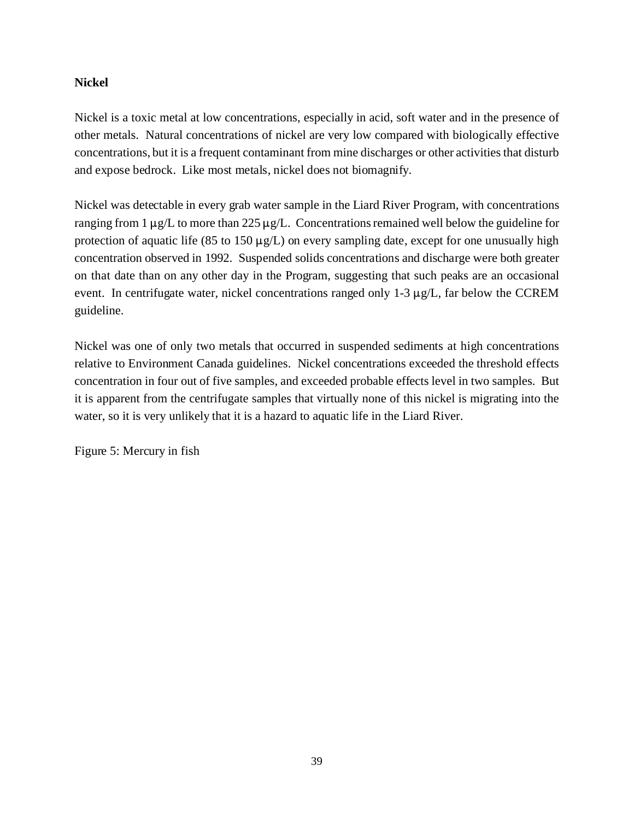#### **Nickel**

Nickel is a toxic metal at low concentrations, especially in acid, soft water and in the presence of other metals. Natural concentrations of nickel are very low compared with biologically effective concentrations, but it is a frequent contaminant from mine discharges or other activities that disturb and expose bedrock. Like most metals, nickel does not biomagnify.

Nickel was detectable in every grab water sample in the Liard River Program, with concentrations ranging from 1  $\mu$ g/L to more than 225  $\mu$ g/L. Concentrations remained well below the guideline for protection of aquatic life (85 to 150  $\mu$ g/L) on every sampling date, except for one unusually high concentration observed in 1992. Suspended solids concentrations and discharge were both greater on that date than on any other day in the Program, suggesting that such peaks are an occasional event. In centrifugate water, nickel concentrations ranged only  $1\n-3 \mu g/L$ , far below the CCREM guideline.

Nickel was one of only two metals that occurred in suspended sediments at high concentrations relative to Environment Canada guidelines. Nickel concentrations exceeded the threshold effects concentration in four out of five samples, and exceeded probable effects level in two samples. But it is apparent from the centrifugate samples that virtually none of this nickel is migrating into the water, so it is very unlikely that it is a hazard to aquatic life in the Liard River.

Figure 5: Mercury in fish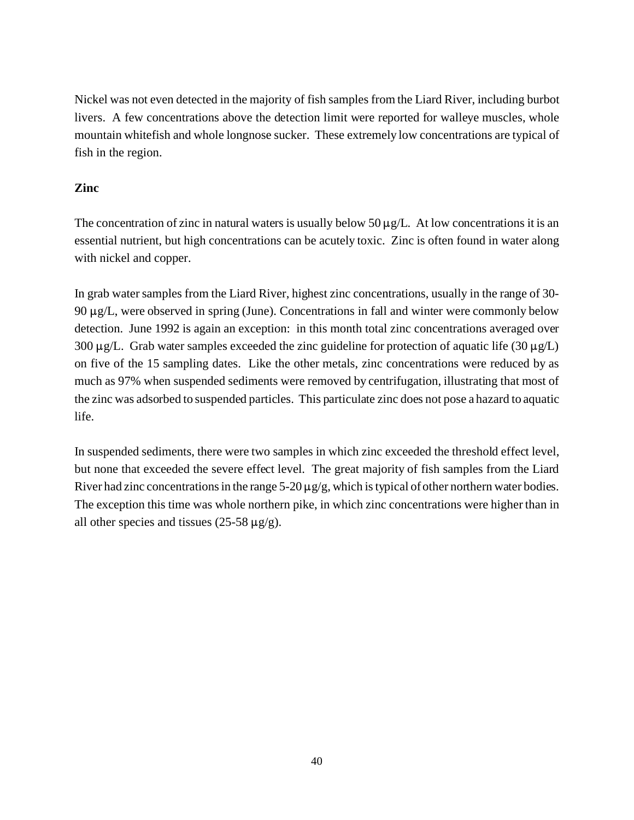Nickel was not even detected in the majority of fish samples from the Liard River, including burbot livers. A few concentrations above the detection limit were reported for walleye muscles, whole mountain whitefish and whole longnose sucker. These extremely low concentrations are typical of fish in the region.

#### **Zinc**

The concentration of zinc in natural waters is usually below 50  $\mu$ g/L. At low concentrations it is an essential nutrient, but high concentrations can be acutely toxic. Zinc is often found in water along with nickel and copper.

In grab water samples from the Liard River, highest zinc concentrations, usually in the range of 30-  $90 \mu g/L$ , were observed in spring (June). Concentrations in fall and winter were commonly below detection. June 1992 is again an exception: in this month total zinc concentrations averaged over 300  $\mu$ g/L. Grab water samples exceeded the zinc guideline for protection of aquatic life (30  $\mu$ g/L) on five of the 15 sampling dates. Like the other metals, zinc concentrations were reduced by as much as 97% when suspended sediments were removed by centrifugation, illustrating that most of the zinc was adsorbed to suspended particles. This particulate zinc does not pose a hazard to aquatic life.

In suspended sediments, there were two samples in which zinc exceeded the threshold effect level, but none that exceeded the severe effect level. The great majority of fish samples from the Liard River had zinc concentrations in the range  $5-20 \mu g/g$ , which is typical of other northern water bodies. The exception this time was whole northern pike, in which zinc concentrations were higher than in all other species and tissues (25-58  $\mu$ g/g).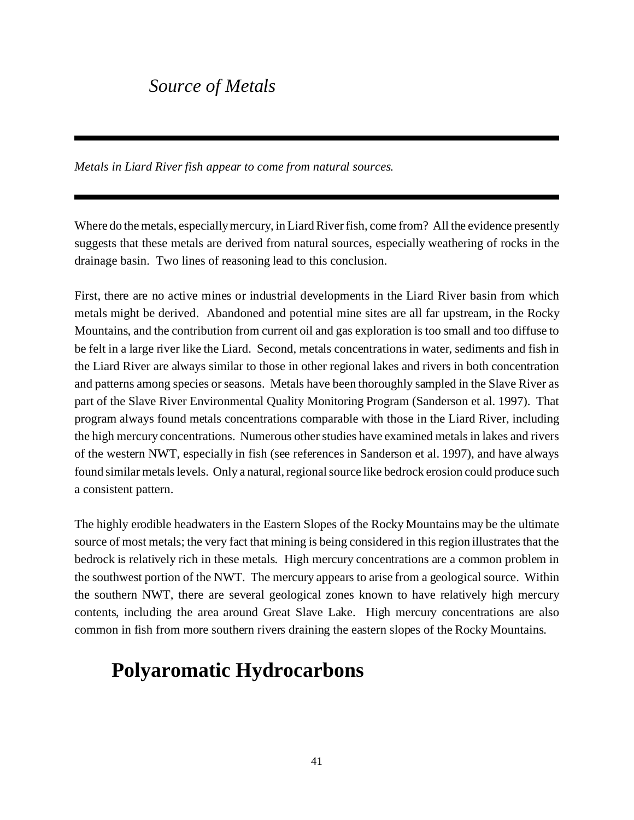## *Source of Metals*

*Metals in Liard River fish appear to come from natural sources.*

Where do the metals, especially mercury, in Liard River fish, come from? All the evidence presently suggests that these metals are derived from natural sources, especially weathering of rocks in the drainage basin. Two lines of reasoning lead to this conclusion.

First, there are no active mines or industrial developments in the Liard River basin from which metals might be derived. Abandoned and potential mine sites are all far upstream, in the Rocky Mountains, and the contribution from current oil and gas exploration is too small and too diffuse to be felt in a large river like the Liard. Second, metals concentrations in water, sediments and fish in the Liard River are always similar to those in other regional lakes and rivers in both concentration and patterns among species or seasons. Metals have been thoroughly sampled in the Slave River as part of the Slave River Environmental Quality Monitoring Program (Sanderson et al. 1997). That program always found metals concentrations comparable with those in the Liard River, including the high mercury concentrations. Numerous other studies have examined metals in lakes and rivers of the western NWT, especially in fish (see references in Sanderson et al. 1997), and have always found similar metals levels. Only a natural, regional source like bedrock erosion could produce such a consistent pattern.

The highly erodible headwaters in the Eastern Slopes of the Rocky Mountains may be the ultimate source of most metals; the very fact that mining is being considered in this region illustrates that the bedrock is relatively rich in these metals. High mercury concentrations are a common problem in the southwest portion of the NWT. The mercury appears to arise from a geological source. Within the southern NWT, there are several geological zones known to have relatively high mercury contents, including the area around Great Slave Lake. High mercury concentrations are also common in fish from more southern rivers draining the eastern slopes of the Rocky Mountains.

# **Polyaromatic Hydrocarbons**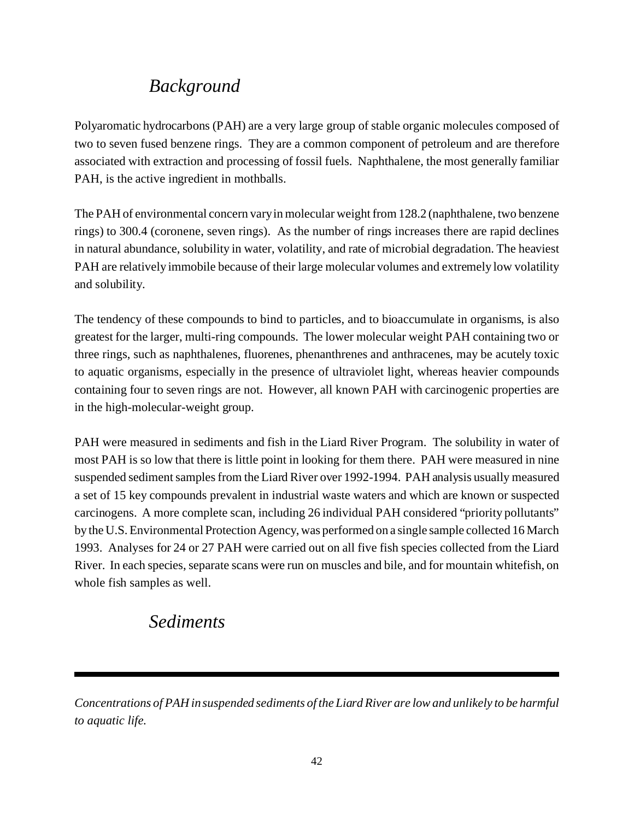# *Background*

Polyaromatic hydrocarbons (PAH) are a very large group of stable organic molecules composed of two to seven fused benzene rings. They are a common component of petroleum and are therefore associated with extraction and processing of fossil fuels. Naphthalene, the most generally familiar PAH, is the active ingredient in mothballs.

The PAH of environmental concern vary in molecular weight from 128.2 (naphthalene, two benzene rings) to 300.4 (coronene, seven rings). As the number of rings increases there are rapid declines in natural abundance, solubility in water, volatility, and rate of microbial degradation. The heaviest PAH are relatively immobile because of their large molecular volumes and extremely low volatility and solubility.

The tendency of these compounds to bind to particles, and to bioaccumulate in organisms, is also greatest for the larger, multi-ring compounds. The lower molecular weight PAH containing two or three rings, such as naphthalenes, fluorenes, phenanthrenes and anthracenes, may be acutely toxic to aquatic organisms, especially in the presence of ultraviolet light, whereas heavier compounds containing four to seven rings are not. However, all known PAH with carcinogenic properties are in the high-molecular-weight group.

PAH were measured in sediments and fish in the Liard River Program. The solubility in water of most PAH is so low that there is little point in looking for them there. PAH were measured in nine suspended sediment samples from the Liard River over 1992-1994. PAH analysis usually measured a set of 15 key compounds prevalent in industrial waste waters and which are known or suspected carcinogens. A more complete scan, including 26 individual PAH considered "priority pollutants" by the U.S. Environmental Protection Agency, was performed on a single sample collected 16 March 1993. Analyses for 24 or 27 PAH were carried out on all five fish species collected from the Liard River. In each species, separate scans were run on muscles and bile, and for mountain whitefish, on whole fish samples as well.

### *Sediments*

*Concentrations of PAH in suspended sediments of the Liard River are low and unlikely to be harmful to aquatic life.*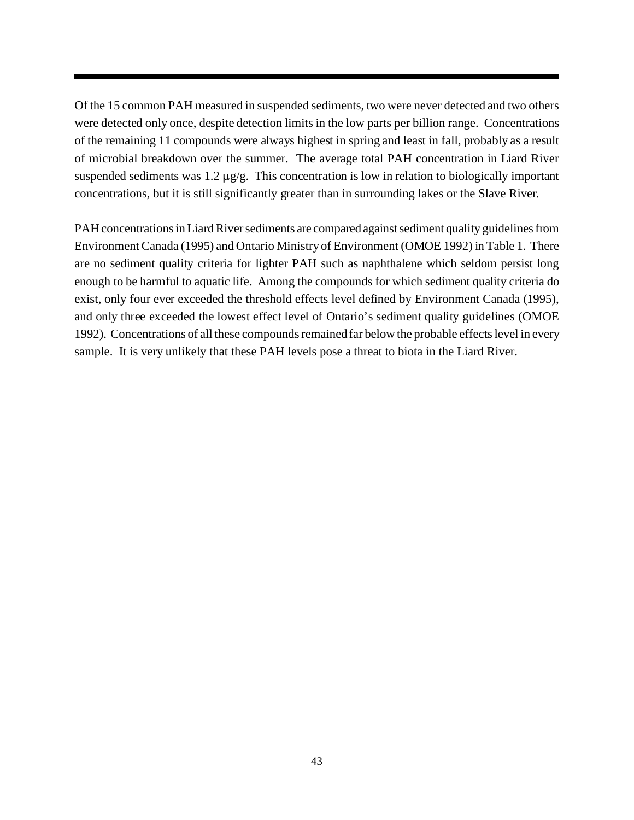Of the 15 common PAH measured in suspended sediments, two were never detected and two others were detected only once, despite detection limits in the low parts per billion range. Concentrations of the remaining 11 compounds were always highest in spring and least in fall, probably as a result of microbial breakdown over the summer. The average total PAH concentration in Liard River suspended sediments was  $1.2 \mu g/g$ . This concentration is low in relation to biologically important concentrations, but it is still significantly greater than in surrounding lakes or the Slave River.

PAH concentrations in Liard River sediments are compared against sediment quality guidelines from Environment Canada (1995) and Ontario Ministry of Environment (OMOE 1992) in Table 1. There are no sediment quality criteria for lighter PAH such as naphthalene which seldom persist long enough to be harmful to aquatic life. Among the compounds for which sediment quality criteria do exist, only four ever exceeded the threshold effects level defined by Environment Canada (1995), and only three exceeded the lowest effect level of Ontario's sediment quality guidelines (OMOE 1992). Concentrations of all these compounds remained far below the probable effects level in every sample. It is very unlikely that these PAH levels pose a threat to biota in the Liard River.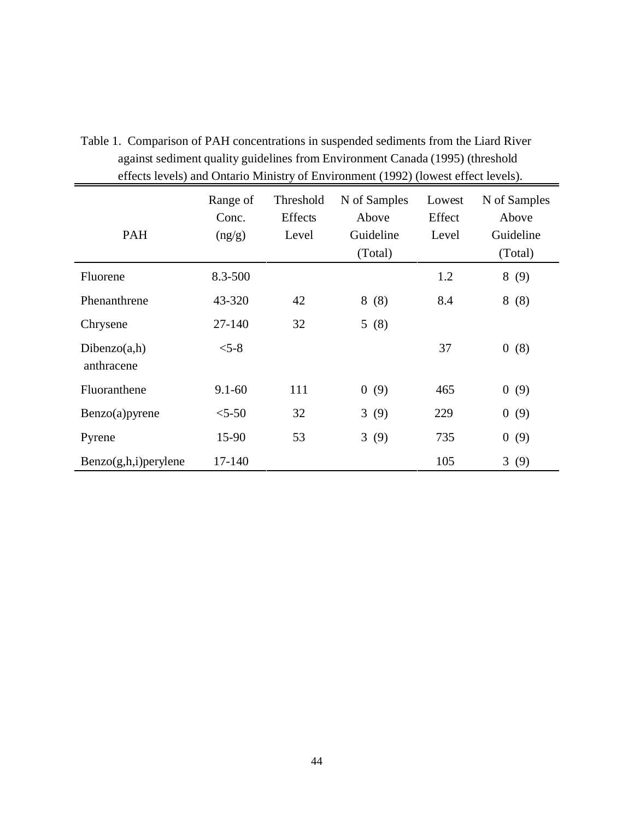|                            | $\cdots$ (222-10) (2011-2012) |                               |                                               |                           |                                               |  |  |  |  |
|----------------------------|-------------------------------|-------------------------------|-----------------------------------------------|---------------------------|-----------------------------------------------|--|--|--|--|
| <b>PAH</b>                 | Range of<br>Conc.<br>(ng/g)   | Threshold<br>Effects<br>Level | N of Samples<br>Above<br>Guideline<br>(Total) | Lowest<br>Effect<br>Level | N of Samples<br>Above<br>Guideline<br>(Total) |  |  |  |  |
| Fluorene                   | 8.3-500                       |                               |                                               | 1.2                       | 8<br>(9)                                      |  |  |  |  |
| Phenanthrene               | 43-320                        | 42                            | 8(8)                                          | 8.4                       | 8(8)                                          |  |  |  |  |
| Chrysene                   | 27-140                        | 32                            | 5(8)                                          |                           |                                               |  |  |  |  |
| Dibenzo(a,h)<br>anthracene | $< 5 - 8$                     |                               |                                               | 37                        | 0(8)                                          |  |  |  |  |
| Fluoranthene               | $9.1 - 60$                    | 111                           | $\overline{0}$<br>(9)                         | 465                       | 0(9)                                          |  |  |  |  |
| Benzo(a) pyrene            | $5 - 50$                      | 32                            | 3(9)                                          | 229                       | 0(9)                                          |  |  |  |  |
| Pyrene                     | 15-90                         | 53                            | 3(9)                                          | 735                       | 0(9)                                          |  |  |  |  |
| $Benzo(g,h,i)$ per ylene   | 17-140                        |                               |                                               | 105                       | 3(9)                                          |  |  |  |  |

Table 1. Comparison of PAH concentrations in suspended sediments from the Liard River against sediment quality guidelines from Environment Canada (1995) (threshold effects levels) and Ontario Ministry of Environment (1992) (lowest effect levels).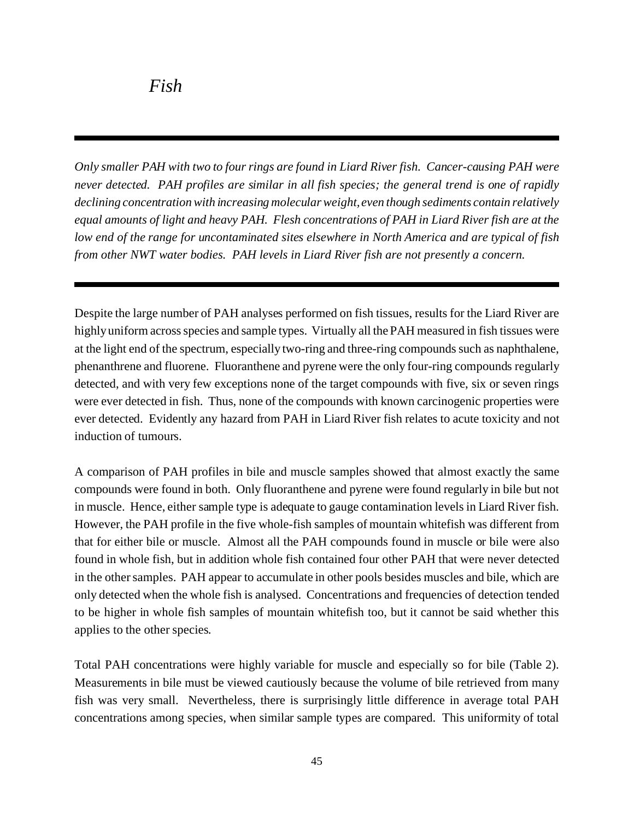*Only smaller PAH with two to four rings are found in Liard River fish. Cancer-causing PAH were never detected. PAH profiles are similar in all fish species; the general trend is one of rapidly declining concentration with increasing molecular weight, even though sediments contain relatively equal amounts of light and heavy PAH. Flesh concentrations of PAH in Liard River fish are at the low end of the range for uncontaminated sites elsewhere in North America and are typical of fish from other NWT water bodies. PAH levels in Liard River fish are not presently a concern.*

Despite the large number of PAH analyses performed on fish tissues, results for the Liard River are highly uniform across species and sample types. Virtually all the PAH measured in fish tissues were at the light end of the spectrum, especially two-ring and three-ring compounds such as naphthalene, phenanthrene and fluorene. Fluoranthene and pyrene were the only four-ring compounds regularly detected, and with very few exceptions none of the target compounds with five, six or seven rings were ever detected in fish. Thus, none of the compounds with known carcinogenic properties were ever detected. Evidently any hazard from PAH in Liard River fish relates to acute toxicity and not induction of tumours.

A comparison of PAH profiles in bile and muscle samples showed that almost exactly the same compounds were found in both. Only fluoranthene and pyrene were found regularly in bile but not in muscle. Hence, either sample type is adequate to gauge contamination levels in Liard River fish. However, the PAH profile in the five whole-fish samples of mountain whitefish was different from that for either bile or muscle. Almost all the PAH compounds found in muscle or bile were also found in whole fish, but in addition whole fish contained four other PAH that were never detected in the other samples. PAH appear to accumulate in other pools besides muscles and bile, which are only detected when the whole fish is analysed. Concentrations and frequencies of detection tended to be higher in whole fish samples of mountain whitefish too, but it cannot be said whether this applies to the other species.

Total PAH concentrations were highly variable for muscle and especially so for bile (Table 2). Measurements in bile must be viewed cautiously because the volume of bile retrieved from many fish was very small. Nevertheless, there is surprisingly little difference in average total PAH concentrations among species, when similar sample types are compared. This uniformity of total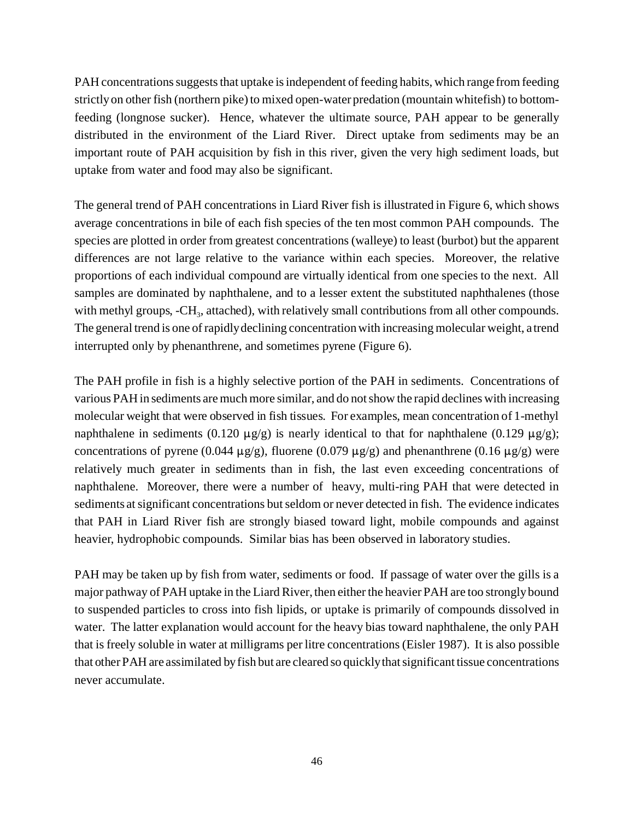PAH concentrations suggests that uptake is independent of feeding habits, which range from feeding strictly on other fish (northern pike) to mixed open-water predation (mountain whitefish) to bottomfeeding (longnose sucker). Hence, whatever the ultimate source, PAH appear to be generally distributed in the environment of the Liard River. Direct uptake from sediments may be an important route of PAH acquisition by fish in this river, given the very high sediment loads, but uptake from water and food may also be significant.

The general trend of PAH concentrations in Liard River fish is illustrated in Figure 6, which shows average concentrations in bile of each fish species of the ten most common PAH compounds. The species are plotted in order from greatest concentrations (walleye) to least (burbot) but the apparent differences are not large relative to the variance within each species. Moreover, the relative proportions of each individual compound are virtually identical from one species to the next. All samples are dominated by naphthalene, and to a lesser extent the substituted naphthalenes (those with methyl groups, -CH<sub>3</sub>, attached), with relatively small contributions from all other compounds. The general trend is one of rapidly declining concentration with increasing molecular weight, a trend interrupted only by phenanthrene, and sometimes pyrene (Figure 6).

The PAH profile in fish is a highly selective portion of the PAH in sediments. Concentrations of various PAH in sediments are much more similar, and do not show the rapid declines with increasing molecular weight that were observed in fish tissues. For examples, mean concentration of 1-methyl naphthalene in sediments (0.120  $\mu$ g/g) is nearly identical to that for naphthalene (0.129  $\mu$ g/g); concentrations of pyrene (0.044  $\mu$ g/g), fluorene (0.079  $\mu$ g/g) and phenanthrene (0.16  $\mu$ g/g) were relatively much greater in sediments than in fish, the last even exceeding concentrations of naphthalene. Moreover, there were a number of heavy, multi-ring PAH that were detected in sediments at significant concentrations but seldom or never detected in fish. The evidence indicates that PAH in Liard River fish are strongly biased toward light, mobile compounds and against heavier, hydrophobic compounds. Similar bias has been observed in laboratory studies.

PAH may be taken up by fish from water, sediments or food. If passage of water over the gills is a major pathway of PAH uptake in the Liard River, then either the heavier PAH are too strongly bound to suspended particles to cross into fish lipids, or uptake is primarily of compounds dissolved in water. The latter explanation would account for the heavy bias toward naphthalene, the only PAH that is freely soluble in water at milligrams per litre concentrations (Eisler 1987). It is also possible that other PAH are assimilated by fish but are cleared so quickly that significant tissue concentrations never accumulate.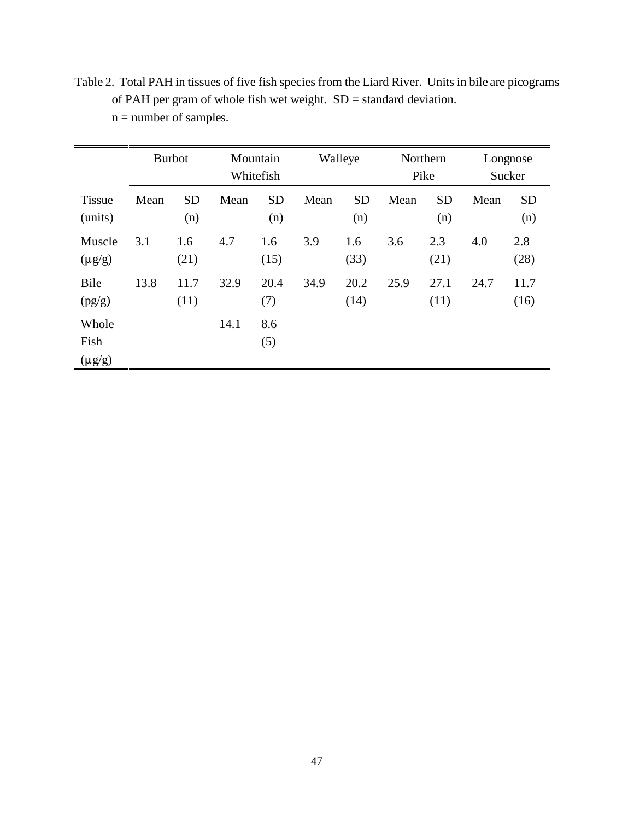|                              |      | <b>Burbot</b>    | Mountain<br>Whitefish |                  | Walleye |                  | Northern<br>Pike |                  | Longnose<br>Sucker |                  |
|------------------------------|------|------------------|-----------------------|------------------|---------|------------------|------------------|------------------|--------------------|------------------|
| <b>Tissue</b><br>(units)     | Mean | <b>SD</b><br>(n) | Mean                  | <b>SD</b><br>(n) | Mean    | <b>SD</b><br>(n) | Mean             | <b>SD</b><br>(n) | Mean               | <b>SD</b><br>(n) |
| Muscle<br>$(\mu g/g)$        | 3.1  | 1.6<br>(21)      | 4.7                   | 1.6<br>(15)      | 3.9     | 1.6<br>(33)      | 3.6              | 2.3<br>(21)      | 4.0                | 2.8<br>(28)      |
| Bile<br>(pg/g)               | 13.8 | 11.7<br>(11)     | 32.9                  | 20.4<br>(7)      | 34.9    | 20.2<br>(14)     | 25.9             | 27.1<br>(11)     | 24.7               | 11.7<br>(16)     |
| Whole<br>Fish<br>$(\mu g/g)$ |      |                  | 14.1                  | 8.6<br>(5)       |         |                  |                  |                  |                    |                  |

Table 2. Total PAH in tissues of five fish species from the Liard River. Units in bile are picograms of PAH per gram of whole fish wet weight. SD = standard deviation.  $n =$  number of samples.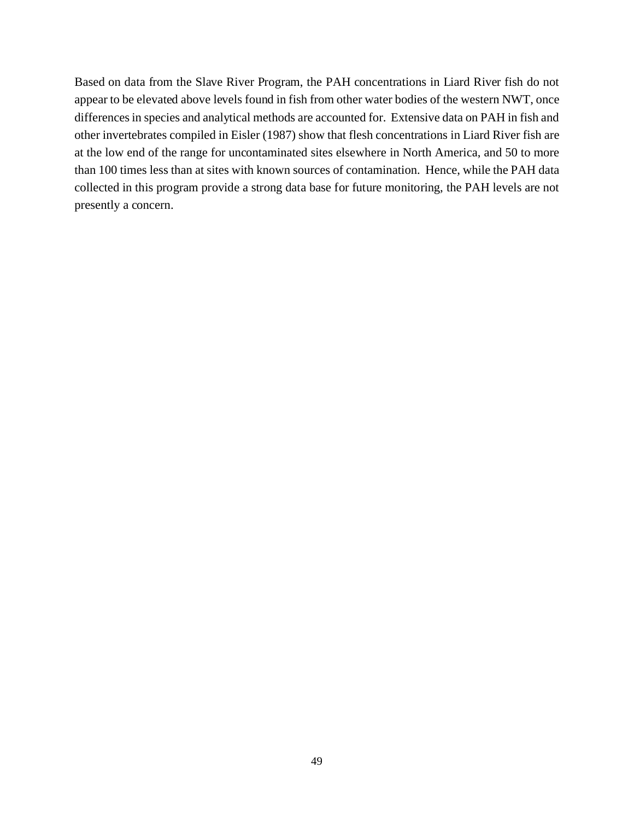Based on data from the Slave River Program, the PAH concentrations in Liard River fish do not appear to be elevated above levels found in fish from other water bodies of the western NWT, once differences in species and analytical methods are accounted for. Extensive data on PAH in fish and other invertebrates compiled in Eisler (1987) show that flesh concentrations in Liard River fish are at the low end of the range for uncontaminated sites elsewhere in North America, and 50 to more than 100 times less than at sites with known sources of contamination. Hence, while the PAH data collected in this program provide a strong data base for future monitoring, the PAH levels are not presently a concern.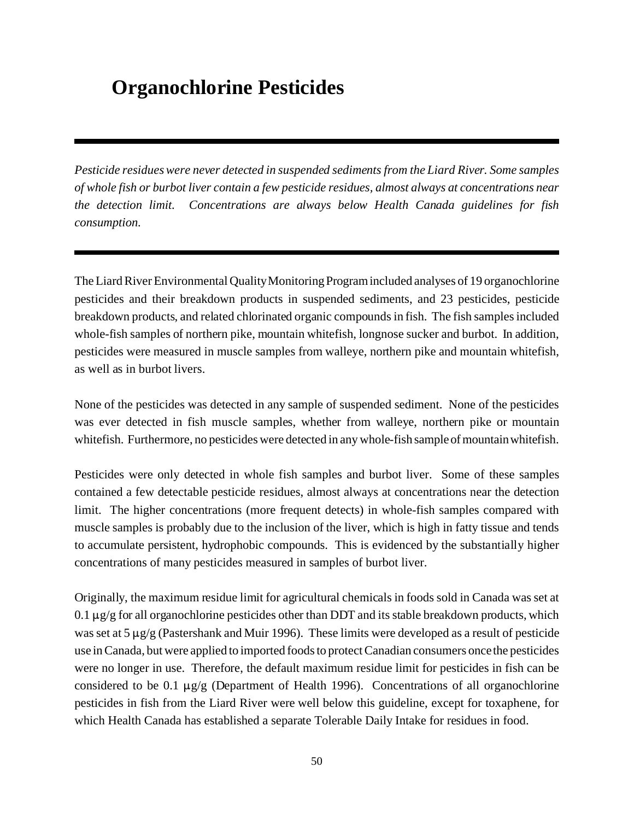# **Organochlorine Pesticides**

*Pesticide residues were never detected in suspended sediments from the Liard River. Some samples of whole fish or burbot liver contain a few pesticide residues, almost always at concentrations near the detection limit. Concentrations are always below Health Canada guidelines for fish consumption.*

The Liard River Environmental Quality Monitoring Program included analyses of 19 organochlorine pesticides and their breakdown products in suspended sediments, and 23 pesticides, pesticide breakdown products, and related chlorinated organic compounds in fish. The fish samples included whole-fish samples of northern pike, mountain whitefish, longnose sucker and burbot. In addition, pesticides were measured in muscle samples from walleye, northern pike and mountain whitefish, as well as in burbot livers.

None of the pesticides was detected in any sample of suspended sediment. None of the pesticides was ever detected in fish muscle samples, whether from walleye, northern pike or mountain whitefish. Furthermore, no pesticides were detected in any whole-fish sample of mountain whitefish.

Pesticides were only detected in whole fish samples and burbot liver. Some of these samples contained a few detectable pesticide residues, almost always at concentrations near the detection limit. The higher concentrations (more frequent detects) in whole-fish samples compared with muscle samples is probably due to the inclusion of the liver, which is high in fatty tissue and tends to accumulate persistent, hydrophobic compounds. This is evidenced by the substantially higher concentrations of many pesticides measured in samples of burbot liver.

Originally, the maximum residue limit for agricultural chemicals in foods sold in Canada was set at  $0.1 \mu$ g/g for all organochlorine pesticides other than DDT and its stable breakdown products, which was set at  $5 \mu g/g$  (Pastershank and Muir 1996). These limits were developed as a result of pesticide use in Canada, but were applied to imported foods to protect Canadian consumers once the pesticides were no longer in use. Therefore, the default maximum residue limit for pesticides in fish can be considered to be 0.1  $\mu$ g/g (Department of Health 1996). Concentrations of all organochlorine pesticides in fish from the Liard River were well below this guideline, except for toxaphene, for which Health Canada has established a separate Tolerable Daily Intake for residues in food.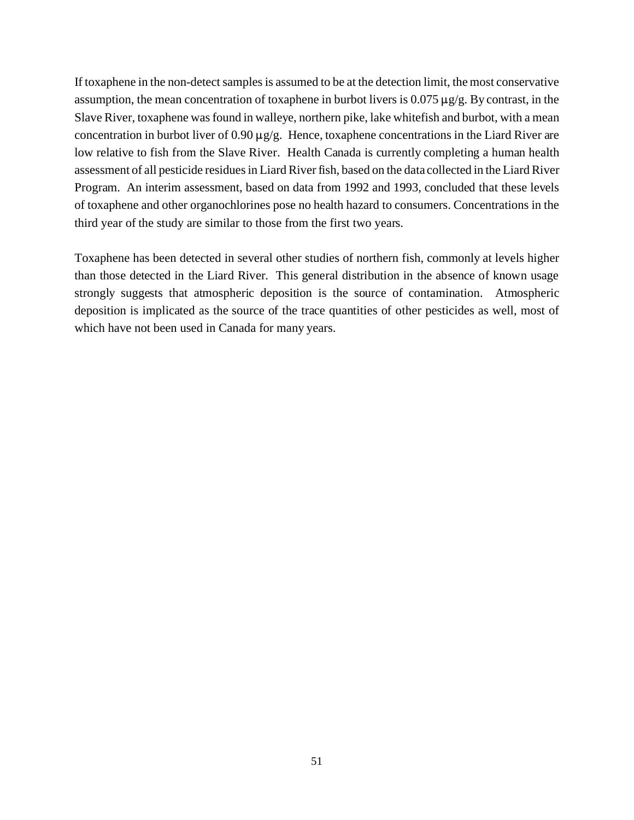If toxaphene in the non-detect samples is assumed to be at the detection limit, the most conservative assumption, the mean concentration of toxaphene in burbot livers is  $0.075 \,\mu g/g$ . By contrast, in the Slave River, toxaphene was found in walleye, northern pike, lake whitefish and burbot, with a mean concentration in burbot liver of  $0.90 \mu$ g/g. Hence, toxaphene concentrations in the Liard River are low relative to fish from the Slave River. Health Canada is currently completing a human health assessment of all pesticide residues in Liard River fish, based on the data collected in the Liard River Program. An interim assessment, based on data from 1992 and 1993, concluded that these levels of toxaphene and other organochlorines pose no health hazard to consumers. Concentrations in the third year of the study are similar to those from the first two years.

Toxaphene has been detected in several other studies of northern fish, commonly at levels higher than those detected in the Liard River. This general distribution in the absence of known usage strongly suggests that atmospheric deposition is the source of contamination. Atmospheric deposition is implicated as the source of the trace quantities of other pesticides as well, most of which have not been used in Canada for many years.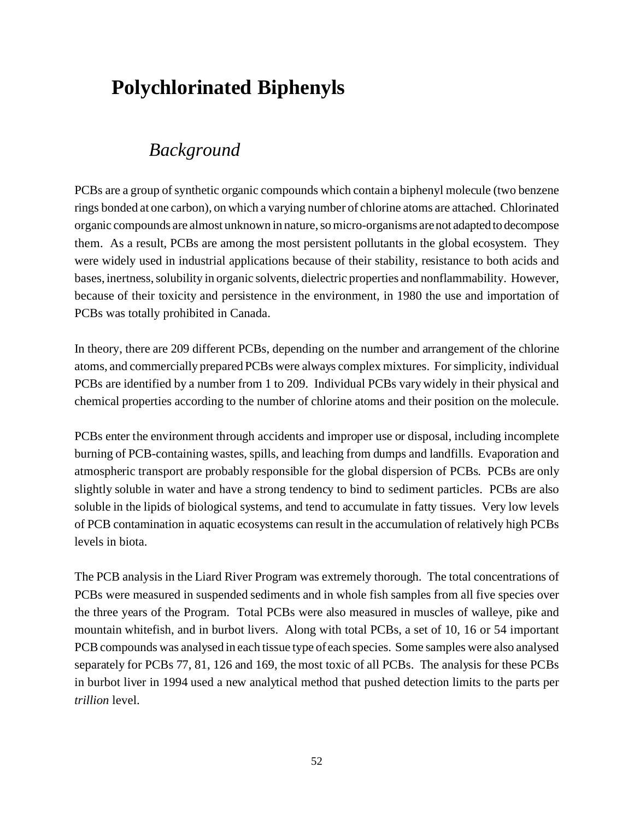# **Polychlorinated Biphenyls**

### *Background*

PCBs are a group of synthetic organic compounds which contain a biphenyl molecule (two benzene rings bonded at one carbon), on which a varying number of chlorine atoms are attached. Chlorinated organic compounds are almost unknown in nature, so micro-organisms are not adapted to decompose them. As a result, PCBs are among the most persistent pollutants in the global ecosystem. They were widely used in industrial applications because of their stability, resistance to both acids and bases, inertness, solubility in organic solvents, dielectric properties and nonflammability. However, because of their toxicity and persistence in the environment, in 1980 the use and importation of PCBs was totally prohibited in Canada.

In theory, there are 209 different PCBs, depending on the number and arrangement of the chlorine atoms, and commercially prepared PCBs were always complex mixtures. For simplicity, individual PCBs are identified by a number from 1 to 209. Individual PCBs vary widely in their physical and chemical properties according to the number of chlorine atoms and their position on the molecule.

PCBs enter the environment through accidents and improper use or disposal, including incomplete burning of PCB-containing wastes, spills, and leaching from dumps and landfills. Evaporation and atmospheric transport are probably responsible for the global dispersion of PCBs. PCBs are only slightly soluble in water and have a strong tendency to bind to sediment particles. PCBs are also soluble in the lipids of biological systems, and tend to accumulate in fatty tissues. Very low levels of PCB contamination in aquatic ecosystems can result in the accumulation of relatively high PCBs levels in biota.

The PCB analysis in the Liard River Program was extremely thorough. The total concentrations of PCBs were measured in suspended sediments and in whole fish samples from all five species over the three years of the Program. Total PCBs were also measured in muscles of walleye, pike and mountain whitefish, and in burbot livers. Along with total PCBs, a set of 10, 16 or 54 important PCB compounds was analysed in each tissue type of each species. Some samples were also analysed separately for PCBs 77, 81, 126 and 169, the most toxic of all PCBs. The analysis for these PCBs in burbot liver in 1994 used a new analytical method that pushed detection limits to the parts per *trillion* level.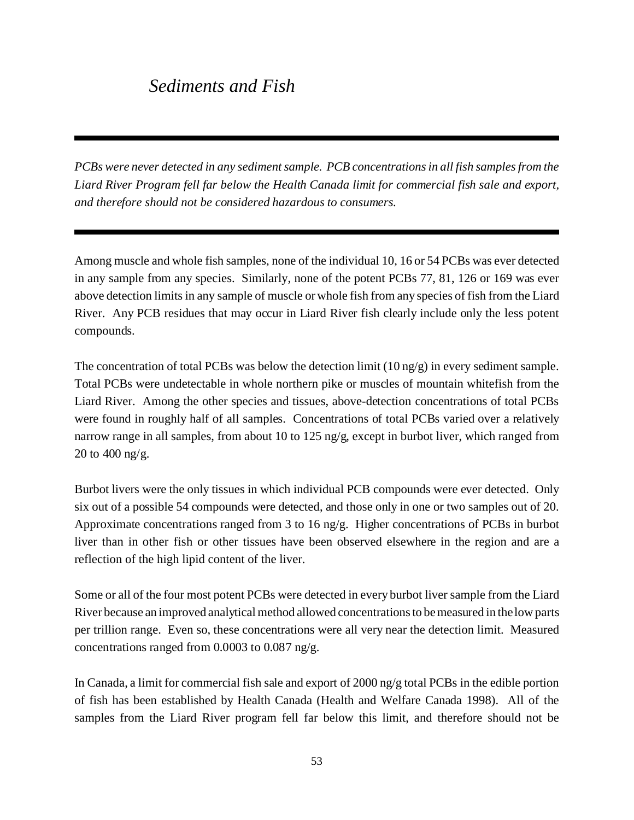# *Sediments and Fish*

*PCBs were never detected in any sediment sample. PCB concentrations in all fish samples from the Liard River Program fell far below the Health Canada limit for commercial fish sale and export, and therefore should not be considered hazardous to consumers.*

Among muscle and whole fish samples, none of the individual 10, 16 or 54 PCBs was ever detected in any sample from any species. Similarly, none of the potent PCBs 77, 81, 126 or 169 was ever above detection limits in any sample of muscle or whole fish from any species of fish from the Liard River. Any PCB residues that may occur in Liard River fish clearly include only the less potent compounds.

The concentration of total PCBs was below the detection limit  $(10 \text{ ng/g})$  in every sediment sample. Total PCBs were undetectable in whole northern pike or muscles of mountain whitefish from the Liard River. Among the other species and tissues, above-detection concentrations of total PCBs were found in roughly half of all samples. Concentrations of total PCBs varied over a relatively narrow range in all samples, from about 10 to 125 ng/g, except in burbot liver, which ranged from 20 to 400 ng/g.

Burbot livers were the only tissues in which individual PCB compounds were ever detected. Only six out of a possible 54 compounds were detected, and those only in one or two samples out of 20. Approximate concentrations ranged from 3 to 16 ng/g. Higher concentrations of PCBs in burbot liver than in other fish or other tissues have been observed elsewhere in the region and are a reflection of the high lipid content of the liver.

Some or all of the four most potent PCBs were detected in every burbot liver sample from the Liard River because an improved analytical method allowed concentrations to be measured in the low parts per trillion range. Even so, these concentrations were all very near the detection limit. Measured concentrations ranged from 0.0003 to 0.087 ng/g.

In Canada, a limit for commercial fish sale and export of 2000 ng/g total PCBs in the edible portion of fish has been established by Health Canada (Health and Welfare Canada 1998). All of the samples from the Liard River program fell far below this limit, and therefore should not be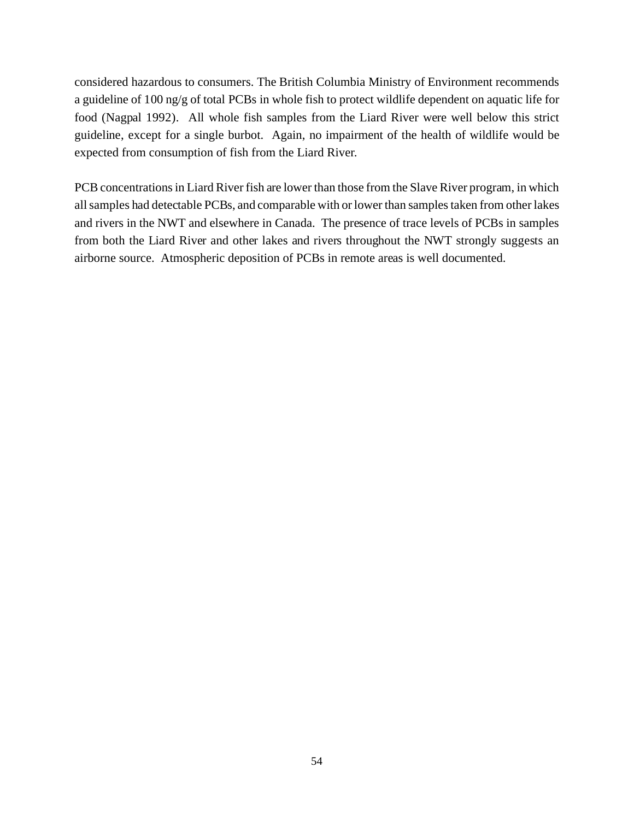considered hazardous to consumers. The British Columbia Ministry of Environment recommends a guideline of 100 ng/g of total PCBs in whole fish to protect wildlife dependent on aquatic life for food (Nagpal 1992). All whole fish samples from the Liard River were well below this strict guideline, except for a single burbot. Again, no impairment of the health of wildlife would be expected from consumption of fish from the Liard River.

PCB concentrations in Liard River fish are lower than those from the Slave River program, in which all samples had detectable PCBs, and comparable with or lower than samples taken from other lakes and rivers in the NWT and elsewhere in Canada. The presence of trace levels of PCBs in samples from both the Liard River and other lakes and rivers throughout the NWT strongly suggests an airborne source. Atmospheric deposition of PCBs in remote areas is well documented.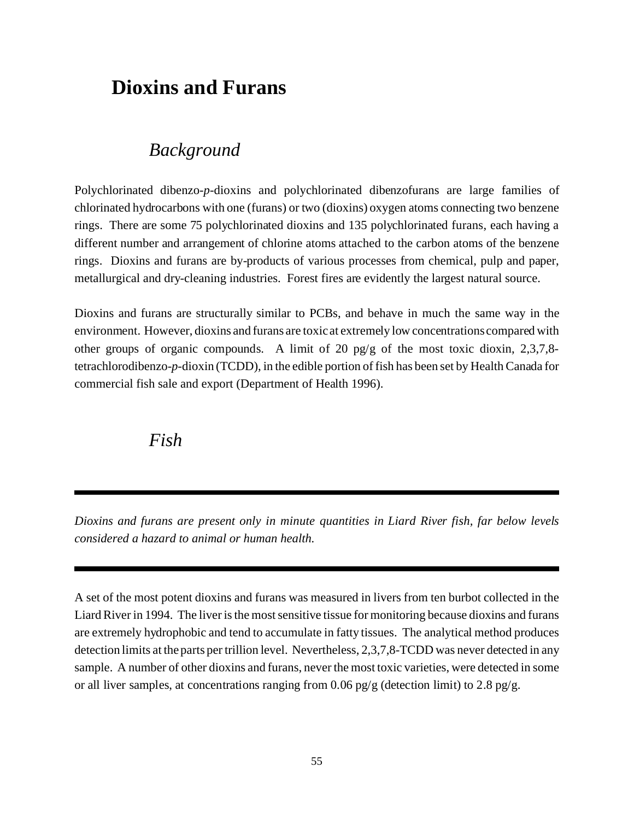# **Dioxins and Furans**

### *Background*

Polychlorinated dibenzo-*p*-dioxins and polychlorinated dibenzofurans are large families of chlorinated hydrocarbons with one (furans) or two (dioxins) oxygen atoms connecting two benzene rings. There are some 75 polychlorinated dioxins and 135 polychlorinated furans, each having a different number and arrangement of chlorine atoms attached to the carbon atoms of the benzene rings. Dioxins and furans are by-products of various processes from chemical, pulp and paper, metallurgical and dry-cleaning industries. Forest fires are evidently the largest natural source.

Dioxins and furans are structurally similar to PCBs, and behave in much the same way in the environment. However, dioxins and furans are toxic at extremely low concentrations compared with other groups of organic compounds. A limit of 20 pg/g of the most toxic dioxin, 2,3,7,8 tetrachlorodibenzo-*p*-dioxin (TCDD), in the edible portion of fish has been set by Health Canada for commercial fish sale and export (Department of Health 1996).

*Fish*

*Dioxins and furans are present only in minute quantities in Liard River fish, far below levels considered a hazard to animal or human health.*

A set of the most potent dioxins and furans was measured in livers from ten burbot collected in the Liard River in 1994. The liver is the most sensitive tissue for monitoring because dioxins and furans are extremely hydrophobic and tend to accumulate in fatty tissues. The analytical method produces detection limits at the parts per trillion level. Nevertheless, 2,3,7,8-TCDD was never detected in any sample. A number of other dioxins and furans, never the most toxic varieties, were detected in some or all liver samples, at concentrations ranging from 0.06 pg/g (detection limit) to 2.8 pg/g.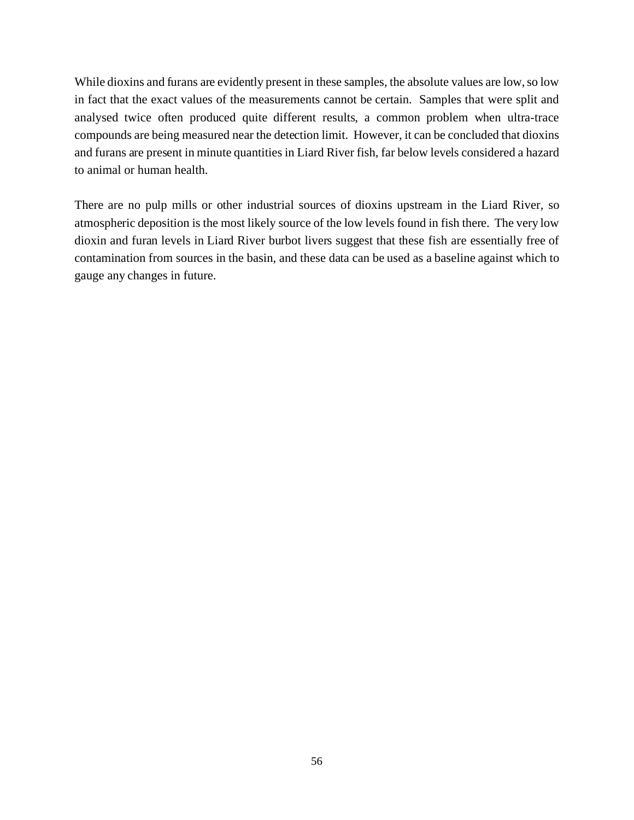While dioxins and furans are evidently present in these samples, the absolute values are low, so low in fact that the exact values of the measurements cannot be certain. Samples that were split and analysed twice often produced quite different results, a common problem when ultra-trace compounds are being measured near the detection limit. However, it can be concluded that dioxins and furans are present in minute quantities in Liard River fish, far below levels considered a hazard to animal or human health.

There are no pulp mills or other industrial sources of dioxins upstream in the Liard River, so atmospheric deposition is the most likely source of the low levels found in fish there. The very low dioxin and furan levels in Liard River burbot livers suggest that these fish are essentially free of contamination from sources in the basin, and these data can be used as a baseline against which to gauge any changes in future.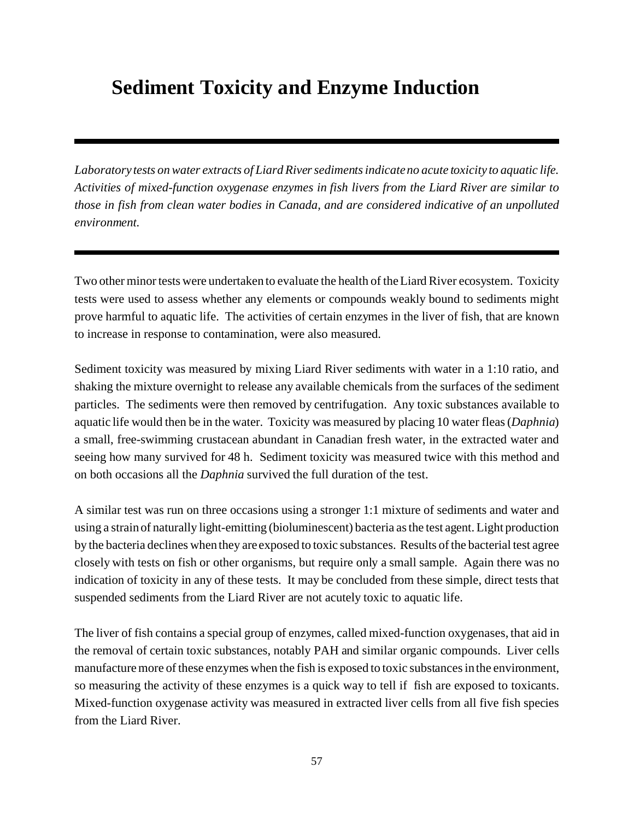# **Sediment Toxicity and Enzyme Induction**

*Laboratory tests on water extracts of Liard River sediments indicate no acute toxicity to aquatic life. Activities of mixed-function oxygenase enzymes in fish livers from the Liard River are similar to those in fish from clean water bodies in Canada, and are considered indicative of an unpolluted environment.*

Two other minor tests were undertaken to evaluate the health of the Liard River ecosystem. Toxicity tests were used to assess whether any elements or compounds weakly bound to sediments might prove harmful to aquatic life. The activities of certain enzymes in the liver of fish, that are known to increase in response to contamination, were also measured.

Sediment toxicity was measured by mixing Liard River sediments with water in a 1:10 ratio, and shaking the mixture overnight to release any available chemicals from the surfaces of the sediment particles. The sediments were then removed by centrifugation. Any toxic substances available to aquatic life would then be in the water. Toxicity was measured by placing 10 water fleas (*Daphnia*) a small, free-swimming crustacean abundant in Canadian fresh water, in the extracted water and seeing how many survived for 48 h. Sediment toxicity was measured twice with this method and on both occasions all the *Daphnia* survived the full duration of the test.

A similar test was run on three occasions using a stronger 1:1 mixture of sediments and water and using a strain of naturally light-emitting (bioluminescent) bacteria as the test agent. Light production by the bacteria declines when they are exposed to toxic substances. Results of the bacterial test agree closely with tests on fish or other organisms, but require only a small sample. Again there was no indication of toxicity in any of these tests. It may be concluded from these simple, direct tests that suspended sediments from the Liard River are not acutely toxic to aquatic life.

The liver of fish contains a special group of enzymes, called mixed-function oxygenases, that aid in the removal of certain toxic substances, notably PAH and similar organic compounds. Liver cells manufacture more of these enzymes when the fish is exposed to toxic substances in the environment, so measuring the activity of these enzymes is a quick way to tell if fish are exposed to toxicants. Mixed-function oxygenase activity was measured in extracted liver cells from all five fish species from the Liard River.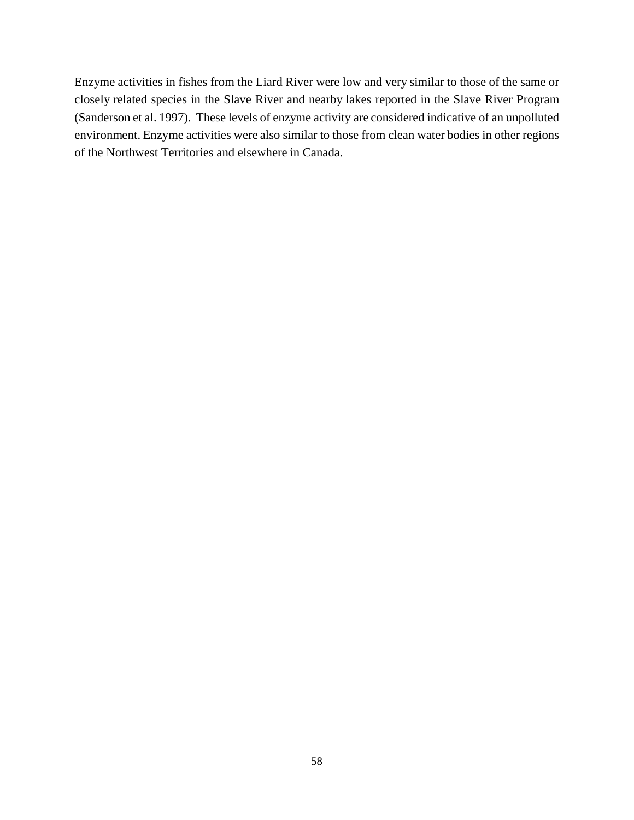Enzyme activities in fishes from the Liard River were low and very similar to those of the same or closely related species in the Slave River and nearby lakes reported in the Slave River Program (Sanderson et al. 1997). These levels of enzyme activity are considered indicative of an unpolluted environment. Enzyme activities were also similar to those from clean water bodies in other regions of the Northwest Territories and elsewhere in Canada.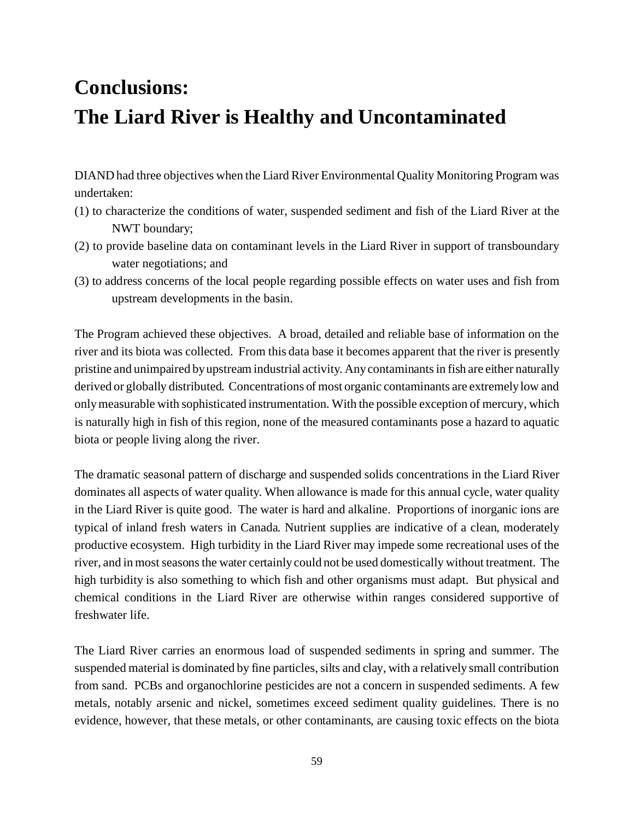# **Conclusions: The Liard River is Healthy and Uncontaminated**

DIAND had three objectives when the Liard River Environmental Quality Monitoring Program was undertaken:

- (1) to characterize the conditions of water, suspended sediment and fish of the Liard River at the NWT boundary;
- (2) to provide baseline data on contaminant levels in the Liard River in support of transboundary water negotiations; and
- (3) to address concerns of the local people regarding possible effects on water uses and fish from upstream developments in the basin.

The Program achieved these objectives. A broad, detailed and reliable base of information on the river and its biota was collected. From this data base it becomes apparent that the river is presently pristine and unimpaired by upstream industrial activity. Any contaminants in fish are either naturally derived or globally distributed. Concentrations of most organic contaminants are extremely low and only measurable with sophisticated instrumentation. With the possible exception of mercury, which is naturally high in fish of this region, none of the measured contaminants pose a hazard to aquatic biota or people living along the river.

The dramatic seasonal pattern of discharge and suspended solids concentrations in the Liard River dominates all aspects of water quality. When allowance is made for this annual cycle, water quality in the Liard River is quite good. The water is hard and alkaline. Proportions of inorganic ions are typical of inland fresh waters in Canada. Nutrient supplies are indicative of a clean, moderately productive ecosystem. High turbidity in the Liard River may impede some recreational uses of the river, and in most seasons the water certainly could not be used domestically without treatment. The high turbidity is also something to which fish and other organisms must adapt. But physical and chemical conditions in the Liard River are otherwise within ranges considered supportive of freshwater life.

The Liard River carries an enormous load of suspended sediments in spring and summer. The suspended material is dominated by fine particles, silts and clay, with a relatively small contribution from sand. PCBs and organochlorine pesticides are not a concern in suspended sediments. A few metals, notably arsenic and nickel, sometimes exceed sediment quality guidelines. There is no evidence, however, that these metals, or other contaminants, are causing toxic effects on the biota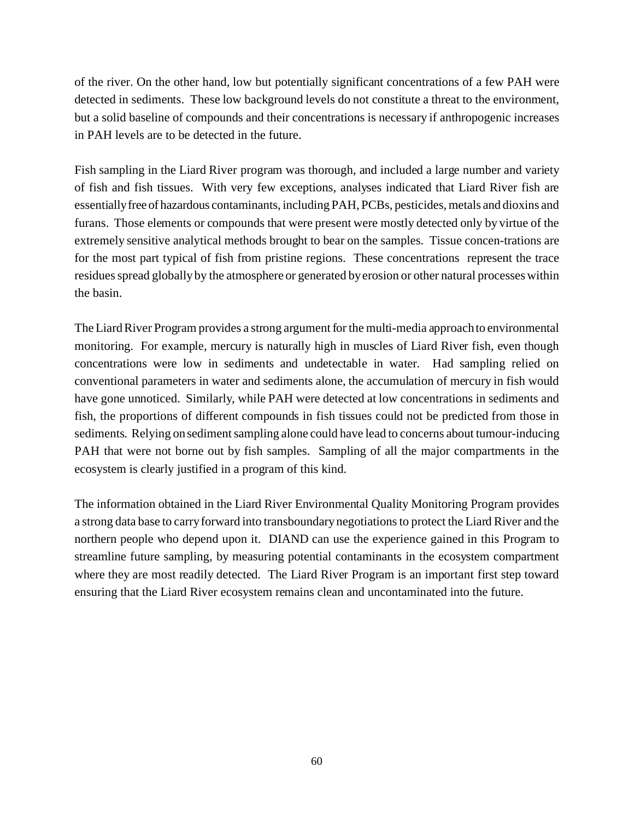of the river. On the other hand, low but potentially significant concentrations of a few PAH were detected in sediments. These low background levels do not constitute a threat to the environment, but a solid baseline of compounds and their concentrations is necessary if anthropogenic increases in PAH levels are to be detected in the future.

Fish sampling in the Liard River program was thorough, and included a large number and variety of fish and fish tissues. With very few exceptions, analyses indicated that Liard River fish are essentiallyfree of hazardous contaminants, including PAH, PCBs, pesticides, metals and dioxins and furans. Those elements or compounds that were present were mostly detected only by virtue of the extremely sensitive analytical methods brought to bear on the samples. Tissue concen-trations are for the most part typical of fish from pristine regions. These concentrations represent the trace residues spread globally by the atmosphere or generated by erosion or other natural processes within the basin.

The Liard River Program provides a strong argument for the multi-media approach to environmental monitoring. For example, mercury is naturally high in muscles of Liard River fish, even though concentrations were low in sediments and undetectable in water. Had sampling relied on conventional parameters in water and sediments alone, the accumulation of mercury in fish would have gone unnoticed. Similarly, while PAH were detected at low concentrations in sediments and fish, the proportions of different compounds in fish tissues could not be predicted from those in sediments. Relying on sediment sampling alone could have lead to concerns about tumour-inducing PAH that were not borne out by fish samples. Sampling of all the major compartments in the ecosystem is clearly justified in a program of this kind.

The information obtained in the Liard River Environmental Quality Monitoring Program provides a strong data base to carry forward into transboundary negotiations to protect the Liard River and the northern people who depend upon it. DIAND can use the experience gained in this Program to streamline future sampling, by measuring potential contaminants in the ecosystem compartment where they are most readily detected. The Liard River Program is an important first step toward ensuring that the Liard River ecosystem remains clean and uncontaminated into the future.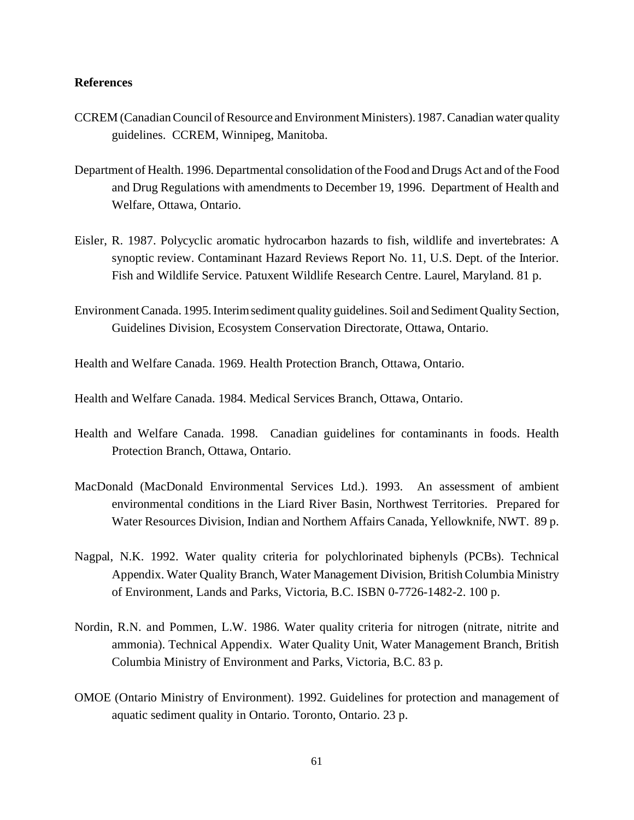#### **References**

- CCREM (Canadian Council of Resource and Environment Ministers). 1987. Canadian water quality guidelines. CCREM, Winnipeg, Manitoba.
- Department of Health. 1996. Departmental consolidation of the Food and Drugs Act and of the Food and Drug Regulations with amendments to December 19, 1996. Department of Health and Welfare, Ottawa, Ontario.
- Eisler, R. 1987. Polycyclic aromatic hydrocarbon hazards to fish, wildlife and invertebrates: A synoptic review. Contaminant Hazard Reviews Report No. 11, U.S. Dept. of the Interior. Fish and Wildlife Service. Patuxent Wildlife Research Centre. Laurel, Maryland. 81 p.
- Environment Canada. 1995. Interimsediment quality guidelines. Soil and Sediment Quality Section, Guidelines Division, Ecosystem Conservation Directorate, Ottawa, Ontario.
- Health and Welfare Canada. 1969. Health Protection Branch, Ottawa, Ontario.
- Health and Welfare Canada. 1984. Medical Services Branch, Ottawa, Ontario.
- Health and Welfare Canada. 1998. Canadian guidelines for contaminants in foods. Health Protection Branch, Ottawa, Ontario.
- MacDonald (MacDonald Environmental Services Ltd.). 1993. An assessment of ambient environmental conditions in the Liard River Basin, Northwest Territories. Prepared for Water Resources Division, Indian and Northern Affairs Canada, Yellowknife, NWT. 89 p.
- Nagpal, N.K. 1992. Water quality criteria for polychlorinated biphenyls (PCBs). Technical Appendix. Water Quality Branch, Water Management Division, British Columbia Ministry of Environment, Lands and Parks, Victoria, B.C. ISBN 0-7726-1482-2. 100 p.
- Nordin, R.N. and Pommen, L.W. 1986. Water quality criteria for nitrogen (nitrate, nitrite and ammonia). Technical Appendix. Water Quality Unit, Water Management Branch, British Columbia Ministry of Environment and Parks, Victoria, B.C. 83 p.
- OMOE (Ontario Ministry of Environment). 1992. Guidelines for protection and management of aquatic sediment quality in Ontario. Toronto, Ontario. 23 p.